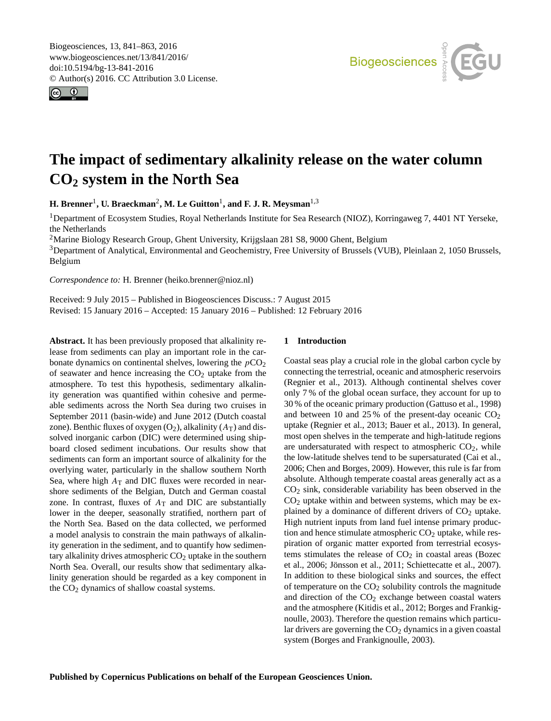<span id="page-0-1"></span>Biogeosciences, 13, 841–863, 2016 www.biogeosciences.net/13/841/2016/ doi:10.5194/bg-13-841-2016 © Author(s) 2016. CC Attribution 3.0 License.





# **The impact of sedimentary alkalinity release on the water column CO<sup>2</sup> system in the North Sea**

**H. Brenner**[1](#page-0-0) **, U. Braeckman**[2](#page-0-0) **, M. Le Guitton**[1](#page-0-0) **, and F. J. R. Meysman**[1,3](#page-0-0)

<sup>1</sup>Department of Ecosystem Studies, Royal Netherlands Institute for Sea Research (NIOZ), Korringaweg 7, 4401 NT Yerseke, the Netherlands

<sup>2</sup>Marine Biology Research Group, Ghent University, Krijgslaan 281 S8, 9000 Ghent, Belgium

<sup>3</sup>Department of Analytical, Environmental and Geochemistry, Free University of Brussels (VUB), Pleinlaan 2, 1050 Brussels, Belgium

*Correspondence to:* H. Brenner (heiko.brenner@nioz.nl)

Received: 9 July 2015 – Published in Biogeosciences Discuss.: 7 August 2015 Revised: 15 January 2016 – Accepted: 15 January 2016 – Published: 12 February 2016

<span id="page-0-0"></span>**Abstract.** It has been previously proposed that alkalinity release from sediments can play an important role in the carbonate dynamics on continental shelves, lowering the  $pCO<sub>2</sub>$ of seawater and hence increasing the  $CO<sub>2</sub>$  uptake from the atmosphere. To test this hypothesis, sedimentary alkalinity generation was quantified within cohesive and permeable sediments across the North Sea during two cruises in September 2011 (basin-wide) and June 2012 (Dutch coastal zone). Benthic fluxes of oxygen  $(O_2)$ , alkalinity  $(A_T)$  and dissolved inorganic carbon (DIC) were determined using shipboard closed sediment incubations. Our results show that sediments can form an important source of alkalinity for the overlying water, particularly in the shallow southern North Sea, where high  $A_T$  and DIC fluxes were recorded in nearshore sediments of the Belgian, Dutch and German coastal zone. In contrast, fluxes of  $A_T$  and DIC are substantially lower in the deeper, seasonally stratified, northern part of the North Sea. Based on the data collected, we performed a model analysis to constrain the main pathways of alkalinity generation in the sediment, and to quantify how sedimentary alkalinity drives atmospheric  $CO<sub>2</sub>$  uptake in the southern North Sea. Overall, our results show that sedimentary alkalinity generation should be regarded as a key component in the CO<sub>2</sub> dynamics of shallow coastal systems.

# **1 Introduction**

Coastal seas play a crucial role in the global carbon cycle by connecting the terrestrial, oceanic and atmospheric reservoirs [\(Regnier et al.,](#page-21-0) [2013\)](#page-21-0). Although continental shelves cover only 7 % of the global ocean surface, they account for up to 30 % of the oceanic primary production [\(Gattuso et al.,](#page-20-0) [1998\)](#page-20-0) and between 10 and 25% of the present-day oceanic  $CO<sub>2</sub>$ uptake [\(Regnier et al.,](#page-21-0) [2013;](#page-21-0) [Bauer et al.,](#page-19-0) [2013\)](#page-19-0). In general, most open shelves in the temperate and high-latitude regions are undersaturated with respect to atmospheric  $CO<sub>2</sub>$ , while the low-latitude shelves tend to be supersaturated [\(Cai et al.,](#page-20-1) [2006;](#page-20-1) [Chen and Borges,](#page-20-2) [2009\)](#page-20-2). However, this rule is far from absolute. Although temperate coastal areas generally act as a  $CO<sub>2</sub>$  sink, considerable variability has been observed in the  $CO<sub>2</sub>$  uptake within and between systems, which may be explained by a dominance of different drivers of  $CO<sub>2</sub>$  uptake. High nutrient inputs from land fuel intense primary production and hence stimulate atmospheric  $CO<sub>2</sub>$  uptake, while respiration of organic matter exported from terrestrial ecosystems stimulates the release of  $CO<sub>2</sub>$  in coastal areas [\(Bozec](#page-19-1) [et al.,](#page-19-1) [2006;](#page-19-1) [Jönsson et al.,](#page-21-1) [2011;](#page-21-1) [Schiettecatte et al.,](#page-22-0) [2007\)](#page-22-0). In addition to these biological sinks and sources, the effect of temperature on the  $CO<sub>2</sub>$  solubility controls the magnitude and direction of the  $CO<sub>2</sub>$  exchange between coastal waters and the atmosphere [\(Kitidis et al.,](#page-21-2) [2012;](#page-21-2) [Borges and Frankig](#page-19-2)[noulle,](#page-19-2) [2003\)](#page-19-2). Therefore the question remains which particular drivers are governing the  $CO<sub>2</sub>$  dynamics in a given coastal system [\(Borges and Frankignoulle,](#page-19-2) [2003\)](#page-19-2).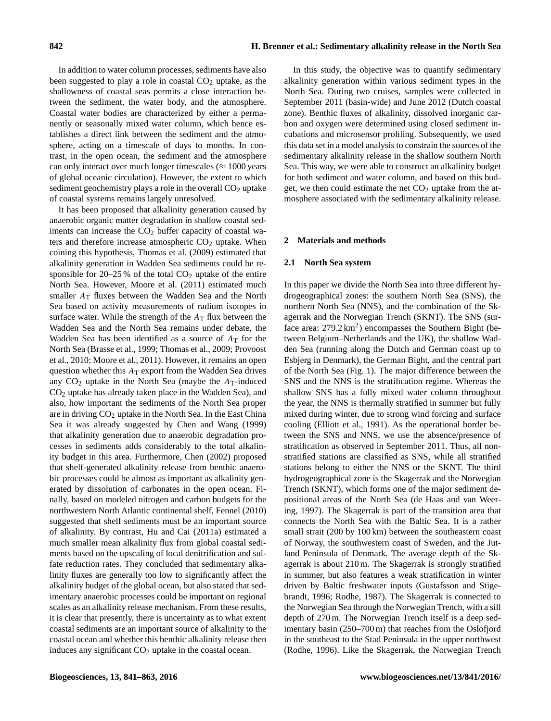In addition to water column processes, sediments have also been suggested to play a role in coastal  $CO<sub>2</sub>$  uptake, as the shallowness of coastal seas permits a close interaction between the sediment, the water body, and the atmosphere. Coastal water bodies are characterized by either a permanently or seasonally mixed water column, which hence establishes a direct link between the sediment and the atmosphere, acting on a timescale of days to months. In contrast, in the open ocean, the sediment and the atmosphere can only interact over much longer timescales ( $\approx 1000$  years of global oceanic circulation). However, the extent to which sediment geochemistry plays a role in the overall  $CO<sub>2</sub>$  uptake of coastal systems remains largely unresolved.

It has been proposed that alkalinity generation caused by anaerobic organic matter degradation in shallow coastal sediments can increase the  $CO<sub>2</sub>$  buffer capacity of coastal waters and therefore increase atmospheric  $CO<sub>2</sub>$  uptake. When coining this hypothesis, [Thomas et al.](#page-22-1) [\(2009\)](#page-22-1) estimated that alkalinity generation in Wadden Sea sediments could be responsible for  $20-25%$  of the total  $CO<sub>2</sub>$  uptake of the entire North Sea. However, [Moore et al.](#page-21-3) [\(2011\)](#page-21-3) estimated much smaller  $A_T$  fluxes between the Wadden Sea and the North Sea based on activity measurements of radium isotopes in surface water. While the strength of the  $A_T$  flux between the Wadden Sea and the North Sea remains under debate, the Wadden Sea has been identified as a source of  $A_T$  for the North Sea [\(Brasse et al.,](#page-19-3) [1999;](#page-19-3) [Thomas et al.,](#page-22-1) [2009;](#page-22-1) [Provoost](#page-21-4) [et al.,](#page-21-4) [2010;](#page-21-4) [Moore et al.,](#page-21-3) [2011\)](#page-21-3). However, it remains an open question whether this  $A_T$  export from the Wadden Sea drives any  $CO<sub>2</sub>$  uptake in the North Sea (maybe the  $A<sub>T</sub>$ -induced CO<sup>2</sup> uptake has already taken place in the Wadden Sea), and also, how important the sediments of the North Sea proper are in driving  $CO<sub>2</sub>$  uptake in the North Sea. In the East China Sea it was already suggested by [Chen and Wang](#page-20-3) [\(1999\)](#page-20-3) that alkalinity generation due to anaerobic degradation processes in sediments adds considerably to the total alkalinity budget in this area. Furthermore, [Chen](#page-20-4) [\(2002\)](#page-20-4) proposed that shelf-generated alkalinity release from benthic anaerobic processes could be almost as important as alkalinity generated by dissolution of carbonates in the open ocean. Finally, based on modeled nitrogen and carbon budgets for the northwestern North Atlantic continental shelf, [Fennel](#page-20-5) [\(2010\)](#page-20-5) suggested that shelf sediments must be an important source of alkalinity. By contrast, [Hu and Cai](#page-20-6) [\(2011a\)](#page-20-6) estimated a much smaller mean alkalinity flux from global coastal sediments based on the upscaling of local denitrification and sulfate reduction rates. They concluded that sedimentary alkalinity fluxes are generally too low to significantly affect the alkalinity budget of the global ocean, but also stated that sedimentary anaerobic processes could be important on regional scales as an alkalinity release mechanism. From these results, it is clear that presently, there is uncertainty as to what extent coastal sediments are an important source of alkalinity to the coastal ocean and whether this benthic alkalinity release then induces any significant  $CO<sub>2</sub>$  uptake in the coastal ocean.

alkalinity generation within various sediment types in the North Sea. During two cruises, samples were collected in September 2011 (basin-wide) and June 2012 (Dutch coastal zone). Benthic fluxes of alkalinity, dissolved inorganic carbon and oxygen were determined using closed sediment incubations and microsensor profiling. Subsequently, we used this data set in a model analysis to constrain the sources of the sedimentary alkalinity release in the shallow southern North Sea. This way, we were able to construct an alkalinity budget for both sediment and water column, and based on this budget, we then could estimate the net  $CO<sub>2</sub>$  uptake from the atmosphere associated with the sedimentary alkalinity release.

# **2 Materials and methods**

# **2.1 North Sea system**

In this paper we divide the North Sea into three different hydrogeographical zones: the southern North Sea (SNS), the northern North Sea (NNS), and the combination of the Skagerrak and the Norwegian Trench (SKNT). The SNS (surface area:  $279.2 \text{ km}^2$ ) encompasses the Southern Bight (between Belgium–Netherlands and the UK), the shallow Wadden Sea (running along the Dutch and German coast up to Esbjerg in Denmark), the German Bight, and the central part of the North Sea (Fig. [1\)](#page-2-0). The major difference between the SNS and the NNS is the stratification regime. Whereas the shallow SNS has a fully mixed water column throughout the year, the NNS is thermally stratified in summer but fully mixed during winter, due to strong wind forcing and surface cooling [\(Elliott et al.,](#page-20-7) [1991\)](#page-20-7). As the operational border between the SNS and NNS, we use the absence/presence of stratification as observed in September 2011. Thus, all nonstratified stations are classified as SNS, while all stratified stations belong to either the NNS or the SKNT. The third hydrogeographical zone is the Skagerrak and the Norwegian Trench (SKNT), which forms one of the major sediment depositional areas of the North Sea [\(de Haas and van Weer](#page-20-8)[ing,](#page-20-8) [1997\)](#page-20-8). The Skagerrak is part of the transition area that connects the North Sea with the Baltic Sea. It is a rather small strait (200 by 100 km) between the southeastern coast of Norway, the southwestern coast of Sweden, and the Jutland Peninsula of Denmark. The average depth of the Skagerrak is about 210 m. The Skagerrak is strongly stratified in summer, but also features a weak stratification in winter driven by Baltic freshwater inputs [\(Gustafsson and Stige](#page-20-9)[brandt,](#page-20-9) [1996;](#page-20-9) [Rodhe,](#page-22-2) [1987\)](#page-22-2). The Skagerrak is connected to the Norwegian Sea through the Norwegian Trench, with a sill depth of 270 m. The Norwegian Trench itself is a deep sedimentary basin (250–700 m) that reaches from the Oslofjord in the southeast to the Stad Peninsula in the upper northwest [\(Rodhe,](#page-22-3) [1996\)](#page-22-3). Like the Skagerrak, the Norwegian Trench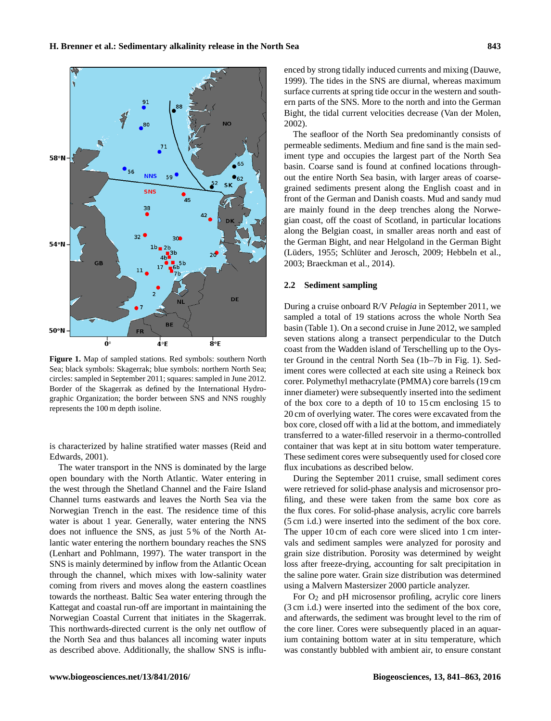<span id="page-2-0"></span>

**Figure 1.** Map of sampled stations. Red symbols: southern North Sea; black symbols: Skagerrak; blue symbols: northern North Sea; circles: sampled in September 2011; squares: sampled in June 2012. Border of the Skagerrak as defined by the International Hydrographic Organization; the border between SNS and NNS roughly represents the 100 m depth isoline.

is characterized by haline stratified water masses [\(Reid and](#page-22-4) [Edwards,](#page-22-4) [2001\)](#page-22-4).

The water transport in the NNS is dominated by the large open boundary with the North Atlantic. Water entering in the west through the Shetland Channel and the Faire Island Channel turns eastwards and leaves the North Sea via the Norwegian Trench in the east. The residence time of this water is about 1 year. Generally, water entering the NNS does not influence the SNS, as just 5 % of the North Atlantic water entering the northern boundary reaches the SNS [\(Lenhart and Pohlmann,](#page-21-5) [1997\)](#page-21-5). The water transport in the SNS is mainly determined by inflow from the Atlantic Ocean through the channel, which mixes with low-salinity water coming from rivers and moves along the eastern coastlines towards the northeast. Baltic Sea water entering through the Kattegat and coastal run-off are important in maintaining the Norwegian Coastal Current that initiates in the Skagerrak. This northwards-directed current is the only net outflow of the North Sea and thus balances all incoming water inputs as described above. Additionally, the shallow SNS is influenced by strong tidally induced currents and mixing [\(Dauwe,](#page-20-10) [1999\)](#page-20-10). The tides in the SNS are diurnal, whereas maximum surface currents at spring tide occur in the western and southern parts of the SNS. More to the north and into the German Bight, the tidal current velocities decrease [\(Van der Molen,](#page-22-5) [2002\)](#page-22-5).

The seafloor of the North Sea predominantly consists of permeable sediments. Medium and fine sand is the main sediment type and occupies the largest part of the North Sea basin. Coarse sand is found at confined locations throughout the entire North Sea basin, with larger areas of coarsegrained sediments present along the English coast and in front of the German and Danish coasts. Mud and sandy mud are mainly found in the deep trenches along the Norwegian coast, off the coast of Scotland, in particular locations along the Belgian coast, in smaller areas north and east of the German Bight, and near Helgoland in the German Bight [\(Lüders,](#page-21-6) [1955;](#page-21-6) [Schlüter and Jerosch,](#page-22-6) [2009;](#page-22-6) [Hebbeln et al.,](#page-20-11) [2003;](#page-20-11) [Braeckman et al.,](#page-19-4) [2014\)](#page-19-4).

# **2.2 Sediment sampling**

During a cruise onboard R/V *Pelagia* in September 2011, we sampled a total of 19 stations across the whole North Sea basin (Table [1\)](#page-3-0). On a second cruise in June 2012, we sampled seven stations along a transect perpendicular to the Dutch coast from the Wadden island of Terschelling up to the Oyster Ground in the central North Sea (1b–7b in Fig. [1\)](#page-2-0). Sediment cores were collected at each site using a Reineck box corer. Polymethyl methacrylate (PMMA) core barrels (19 cm inner diameter) were subsequently inserted into the sediment of the box core to a depth of 10 to 15 cm enclosing 15 to 20 cm of overlying water. The cores were excavated from the box core, closed off with a lid at the bottom, and immediately transferred to a water-filled reservoir in a thermo-controlled container that was kept at in situ bottom water temperature. These sediment cores were subsequently used for closed core flux incubations as described below.

During the September 2011 cruise, small sediment cores were retrieved for solid-phase analysis and microsensor profiling, and these were taken from the same box core as the flux cores. For solid-phase analysis, acrylic core barrels (5 cm i.d.) were inserted into the sediment of the box core. The upper 10 cm of each core were sliced into 1 cm intervals and sediment samples were analyzed for porosity and grain size distribution. Porosity was determined by weight loss after freeze-drying, accounting for salt precipitation in the saline pore water. Grain size distribution was determined using a Malvern Mastersizer 2000 particle analyzer.

For  $O_2$  and pH microsensor profiling, acrylic core liners (3 cm i.d.) were inserted into the sediment of the box core, and afterwards, the sediment was brought level to the rim of the core liner. Cores were subsequently placed in an aquarium containing bottom water at in situ temperature, which was constantly bubbled with ambient air, to ensure constant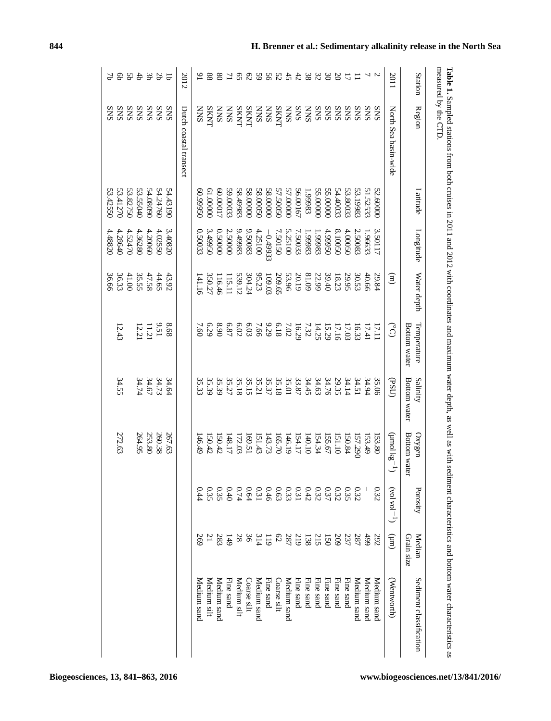<span id="page-3-0"></span>

|                 | measured by the CTD.   |          |            |                |                             |                          |                        |              |                      |                         |
|-----------------|------------------------|----------|------------|----------------|-----------------------------|--------------------------|------------------------|--------------|----------------------|-------------------------|
| Station         | Region                 | Latitude | Longitude  | Water depth    | Bottom water<br>Temperature | Salinity<br>Bottom water | Bottom water<br>Oxygen | Porosity     | Median<br>Grain size | Sediment classification |
| 2011            | North Sea basin-wide   |          |            | $\binom{m}{n}$ | $\widehat{\mathsf{S}}$      | (BSU)                    | S <sub>X</sub> [oun)   | $(-10A \log$ | $\binom{m}{k}$       | Wentworth)              |
|                 | <b>SNS</b>             | 52.6000C | 3.50117    | 29.84          | 17.11                       | 35.06                    | 153.80                 | 0.32         | 292                  | Medium sand             |
|                 | <b>SNS</b>             | 51.52533 | 1.96633    | 40.66          | 17.41                       |                          | 153.49                 |              | 499                  | Medium sand             |
| $\Xi$           | <b>SNS</b>             | 53.19983 | 2.50083    | 30.53          | 16.33                       | $34.94$<br>34.51         | 157.290                | 0.32         | 287                  | Medium sand             |
| $\overline{u}$  | <b>SNS</b>             | 53.80033 | 4.00050    | 29.95          | 17.03                       | 34.14                    | 150.84                 | 0.35         | 237                  | Fine sand               |
| $\infty$        | <b>SNS</b>             | 54.40033 | 8.10050    | 18.23          | 17.16                       | 29.35                    | 151.10                 | 0.32         | 209                  | Fine sand               |
| $\infty$        | <b>SNS</b>             | 55.00000 | 4.99950    | 39.40          | 15.29                       | 34.76                    | 155.67                 | 0.37         | 150                  | Fine sand               |
|                 |                        | 55.00000 | 1.99983    | 22.99          | 14.25                       | 34.63                    | 154.34                 | 0.32         | 215                  | Fine sand               |
| 328             | <b>SNS</b>             | 1.9983   | 1.99983    | 81.09          | 7.32                        | 34.45                    | 140.10                 | 0.42         | 138                  | Fine sand               |
|                 | <b>SNS</b>             | 56.00167 | 7.50033    | 20.19          | 16.29                       | 33.87                    | 154.17                 | 0.31         | 219                  | Fine sand               |
|                 | <b>SNN</b>             | 57.00000 | 5.25100    | 53.96          | 7.02                        |                          | 146.19                 |              | 287                  | Medium sand             |
| 3253            | <b>SKNT</b>            | 57.50050 | 7.50150    | 209.65         | 6.18                        | 35.01<br>35.18           | 165.70                 | 0.33         | $62\,$               | Coarse silt             |
|                 | <b>SNN</b>             | 58.00000 | $-0.49933$ | 109.03         | 9.29                        | 35.37                    | 143.73                 | 0.46         | $\overline{119}$     | Fine sand               |
| 59              | <b>SNN</b>             | 58.00050 | 4.25100    | 95.23          | 7.66                        | 35.21                    | 151.43                 | 0.31         | 314                  | Medium sand             |
| 62              | <b>SKNT</b>            | 58.00000 | 9.50083    | 304.24         | 6.03                        | 35.15                    | 169.51                 | 0.64         | 36                   | Coarse silt             |
| $5^{\circ}$     | <b>SKNT</b>            | 58.49983 | 9.49983    | 539.12         | 6.02                        | 35.18                    | 172.03                 | 0.74         | $8\,$                | Medium silt             |
| 71              | <b>SNN</b>             | 59.00033 | 2.50000    | 115.11         | 6.87                        | 35.27                    | 148.17                 | 0.40         | 149                  | Fine sand               |
| $80^{\circ}$    | <b>SNN</b>             | 60.00017 | 0.50000    | 116.46         | 8.90                        | 35.39                    | 150.42                 | 0.35         | 283                  | Medium sand             |
| 88              | <b>SKNT</b>            | 00000    | 3.49950    | 350.27         | 679                         | 35.39                    | 150.42                 | 0.35         | $\overline{21}$      | Medium silt             |
| $\overline{6}$  | <b>NNS</b>             | 0.99950  | 0.50033    | 141.16         | 7.60                        | 35.33                    | 146.49                 | 0.44         | 269                  | Medium sanc             |
| 2012            | Dutch coastal transect |          |            |                |                             |                          |                        |              |                      |                         |
| $\overline{q}$  |                        | 54.43190 | 3.40820    | 43.92          | 89.8                        |                          | 267.63                 |              |                      |                         |
| <b>Sb</b>       | SNS                    | 54.24760 | 4.02550    | 44.65          | 9.51                        | $34.64$<br>$34.73$       | 260.38                 |              |                      |                         |
| ąε              | SNS                    | 54.08090 | 4.20060    |                |                             |                          | 253.80                 |              |                      |                         |
| $\ddot{\theta}$ | SNS                    | 53.55040 | 4.36280    | 47.58<br>35.55 | $\frac{11.21}{12.21}$       | 34.74                    | 264.95                 |              |                      |                         |
| Sp              | ${\rm SNS}$            | 53.82750 | 4.52470    | 41.00          |                             |                          |                        |              |                      |                         |
| e9              | SNS                    | 53.41270 | 4.28640    | 36.33<br>36.66 | 12.43                       | 34.55                    | 272.63                 |              |                      |                         |
| 97              | <b>SNS</b>             | 53.42550 | 4.48820    |                |                             |                          |                        |              |                      |                         |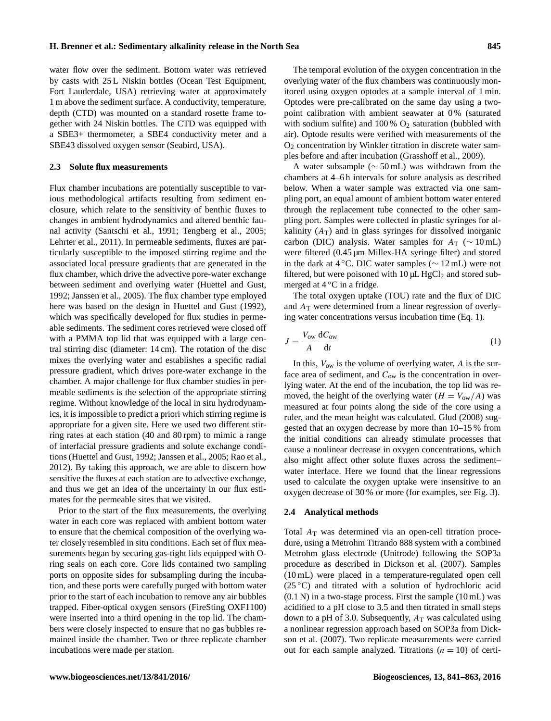water flow over the sediment. Bottom water was retrieved by casts with 25 L Niskin bottles (Ocean Test Equipment, Fort Lauderdale, USA) retrieving water at approximately 1 m above the sediment surface. A conductivity, temperature, depth (CTD) was mounted on a standard rosette frame together with 24 Niskin bottles. The CTD was equipped with a SBE3+ thermometer, a SBE4 conductivity meter and a SBE43 dissolved oxygen sensor (Seabird, USA).

#### **2.3 Solute flux measurements**

Flux chamber incubations are potentially susceptible to various methodological artifacts resulting from sediment enclosure, which relate to the sensitivity of benthic fluxes to changes in ambient hydrodynamics and altered benthic faunal activity [\(Santschi et al.,](#page-22-7) [1991;](#page-22-7) [Tengberg et al.,](#page-22-8) [2005;](#page-22-8) [Lehrter et al.,](#page-21-7) [2011\)](#page-21-7). In permeable sediments, fluxes are particularly susceptible to the imposed stirring regime and the associated local pressure gradients that are generated in the flux chamber, which drive the advective pore-water exchange between sediment and overlying water [\(Huettel and Gust,](#page-20-12) [1992;](#page-20-12) [Janssen et al.,](#page-21-8) [2005\)](#page-21-8). The flux chamber type employed here was based on the design in Huettel and Gust (1992), which was specifically developed for flux studies in permeable sediments. The sediment cores retrieved were closed off with a PMMA top lid that was equipped with a large central stirring disc (diameter: 14 cm). The rotation of the disc mixes the overlying water and establishes a specific radial pressure gradient, which drives pore-water exchange in the chamber. A major challenge for flux chamber studies in permeable sediments is the selection of the appropriate stirring regime. Without knowledge of the local in situ hydrodynamics, it is impossible to predict a priori which stirring regime is appropriate for a given site. Here we used two different stirring rates at each station (40 and 80 rpm) to mimic a range of interfacial pressure gradients and solute exchange conditions [\(Huettel and Gust,](#page-20-12) [1992;](#page-20-12) [Janssen et al.,](#page-21-8) [2005;](#page-21-8) [Rao et al.,](#page-21-9) [2012\)](#page-21-9). By taking this approach, we are able to discern how sensitive the fluxes at each station are to advective exchange, and thus we get an idea of the uncertainty in our flux estimates for the permeable sites that we visited.

Prior to the start of the flux measurements, the overlying water in each core was replaced with ambient bottom water to ensure that the chemical composition of the overlying water closely resembled in situ conditions. Each set of flux measurements began by securing gas-tight lids equipped with Oring seals on each core. Core lids contained two sampling ports on opposite sides for subsampling during the incubation, and these ports were carefully purged with bottom water prior to the start of each incubation to remove any air bubbles trapped. Fiber-optical oxygen sensors (FireSting OXF1100) were inserted into a third opening in the top lid. The chambers were closely inspected to ensure that no gas bubbles remained inside the chamber. Two or three replicate chamber incubations were made per station.

The temporal evolution of the oxygen concentration in the overlying water of the flux chambers was continuously monitored using oxygen optodes at a sample interval of 1 min. Optodes were pre-calibrated on the same day using a twopoint calibration with ambient seawater at 0 % (saturated with sodium sulfite) and  $100\%$  O<sub>2</sub> saturation (bubbled with air). Optode results were verified with measurements of the O<sup>2</sup> concentration by Winkler titration in discrete water samples before and after incubation [\(Grasshoff et al.,](#page-20-13) [2009\)](#page-20-13).

A water subsample (∼ 50 mL) was withdrawn from the chambers at 4–6 h intervals for solute analysis as described below. When a water sample was extracted via one sampling port, an equal amount of ambient bottom water entered through the replacement tube connected to the other sampling port. Samples were collected in plastic syringes for alkalinity  $(A_T)$  and in glass syringes for dissolved inorganic carbon (DIC) analysis. Water samples for  $A_T$  (~ 10 mL) were filtered (0.45  $\mu$ m Millex-HA syringe filter) and stored in the dark at 4 °C. DIC water samples ( $\sim$  12 mL) were not filtered, but were poisoned with  $10 \mu L$  HgCl<sub>2</sub> and stored submerged at  $4^{\circ}$ C in a fridge.

The total oxygen uptake (TOU) rate and the flux of DIC and  $A<sub>T</sub>$  were determined from a linear regression of overlying water concentrations versus incubation time (Eq. [1\)](#page-4-0).

<span id="page-4-0"></span>
$$
J = \frac{V_{\text{ow}}}{A} \frac{\text{d}C_{\text{ow}}}{\text{d}t} \tag{1}
$$

In this,  $V_{ow}$  is the volume of overlying water, A is the surface area of sediment, and  $C_{ow}$  is the concentration in overlying water. At the end of the incubation, the top lid was removed, the height of the overlying water  $(H = V_{ow}/A)$  was measured at four points along the side of the core using a ruler, and the mean height was calculated. [Glud](#page-20-14) [\(2008\)](#page-20-14) suggested that an oxygen decrease by more than 10–15 % from the initial conditions can already stimulate processes that cause a nonlinear decrease in oxygen concentrations, which also might affect other solute fluxes across the sediment– water interface. Here we found that the linear regressions used to calculate the oxygen uptake were insensitive to an oxygen decrease of 30 % or more (for examples, see Fig. [3\)](#page-6-0).

#### **2.4 Analytical methods**

Total  $A_T$  was determined via an open-cell titration procedure, using a Metrohm Titrando 888 system with a combined Metrohm glass electrode (Unitrode) following the SOP3a procedure as described in [Dickson et al.](#page-20-15) [\(2007\)](#page-20-15). Samples (10 mL) were placed in a temperature-regulated open cell  $(25\degree C)$  and titrated with a solution of hydrochloric acid  $(0.1 \text{ N})$  in a two-stage process. First the sample  $(10 \text{ mL})$  was acidified to a pH close to 3.5 and then titrated in small steps down to a pH of 3.0. Subsequently,  $A_T$  was calculated using a nonlinear regression approach based on SOP3a from [Dick](#page-20-15)[son et al.](#page-20-15) [\(2007\)](#page-20-15). Two replicate measurements were carried out for each sample analyzed. Titrations  $(n = 10)$  of certi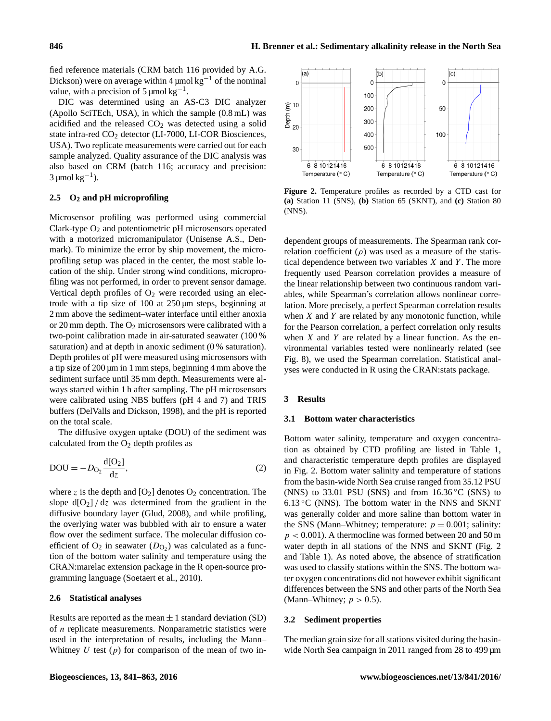fied reference materials (CRM batch 116 provided by A.G. Dickson) were on average within 4  $\mu$ mol kg<sup>-1</sup> of the nominal value, with a precision of  $5 \mu$ mol kg<sup>-1</sup>.

DIC was determined using an AS-C3 DIC analyzer (Apollo SciTEch, USA), in which the sample (0.8 mL) was acidified and the released  $CO<sub>2</sub>$  was detected using a solid state infra-red  $CO<sub>2</sub>$  detector (LI-7000, LI-COR Biosciences, USA). Two replicate measurements were carried out for each sample analyzed. Quality assurance of the DIC analysis was also based on CRM (batch 116; accuracy and precision:  $3 \mu$ mol kg<sup>-1</sup>).

# <span id="page-5-1"></span>**2.5 O<sup>2</sup> and pH microprofiling**

Microsensor profiling was performed using commercial Clark-type O<sup>2</sup> and potentiometric pH microsensors operated with a motorized micromanipulator (Unisense A.S., Denmark). To minimize the error by ship movement, the microprofiling setup was placed in the center, the most stable location of the ship. Under strong wind conditions, microprofiling was not performed, in order to prevent sensor damage. Vertical depth profiles of  $O_2$  were recorded using an electrode with a tip size of 100 at 250 µm steps, beginning at 2 mm above the sediment–water interface until either anoxia or 20 mm depth. The O<sup>2</sup> microsensors were calibrated with a two-point calibration made in air-saturated seawater (100 % saturation) and at depth in anoxic sediment (0 % saturation). Depth profiles of pH were measured using microsensors with a tip size of 200 µm in 1 mm steps, beginning 4 mm above the sediment surface until 35 mm depth. Measurements were always started within 1 h after sampling. The pH microsensors were calibrated using NBS buffers (pH 4 and 7) and TRIS buffers [\(DelValls and Dickson,](#page-20-16) [1998\)](#page-20-16), and the pH is reported on the total scale.

The diffusive oxygen uptake (DOU) of the sediment was calculated from the  $O_2$  depth profiles as

$$
DOU = -DO2 \frac{d[O2]}{dz},
$$
\n(2)

where z is the depth and  $[O_2]$  denotes  $O_2$  concentration. The slope  $d[O_2]/dz$  was determined from the gradient in the diffusive boundary layer [\(Glud,](#page-20-14) [2008\)](#page-20-14), and while profiling, the overlying water was bubbled with air to ensure a water flow over the sediment surface. The molecular diffusion coefficient of  $O_2$  in seawater  $(D_{O_2})$  was calculated as a function of the bottom water salinity and temperature using the CRAN:marelac extension package in the R open-source programming language [\(Soetaert et al.,](#page-22-9) [2010\)](#page-22-9).

# **2.6 Statistical analyses**

Results are reported as the mean  $\pm 1$  standard deviation (SD) of n replicate measurements. Nonparametric statistics were used in the interpretation of results, including the Mann– Whitney  $U$  test  $(p)$  for comparison of the mean of two in-

<span id="page-5-0"></span>

**Figure 2.** Temperature profiles as recorded by a CTD cast for **(a)** Station 11 (SNS), **(b)** Station 65 (SKNT), and **(c)** Station 80 (NNS).

dependent groups of measurements. The Spearman rank correlation coefficient ( $\rho$ ) was used as a measure of the statistical dependence between two variables  $X$  and  $Y$ . The more frequently used Pearson correlation provides a measure of the linear relationship between two continuous random variables, while Spearman's correlation allows nonlinear correlation. More precisely, a perfect Spearman correlation results when  $X$  and  $Y$  are related by any monotonic function, while for the Pearson correlation, a perfect correlation only results when  $X$  and  $Y$  are related by a linear function. As the environmental variables tested were nonlinearly related (see Fig. [8\)](#page-11-0), we used the Spearman correlation. Statistical analyses were conducted in R using the CRAN:stats package.

# **3 Results**

#### <span id="page-5-2"></span>**3.1 Bottom water characteristics**

Bottom water salinity, temperature and oxygen concentration as obtained by CTD profiling are listed in Table [1,](#page-3-0) and characteristic temperature depth profiles are displayed in Fig. [2.](#page-5-0) Bottom water salinity and temperature of stations from the basin-wide North Sea cruise ranged from 35.12 PSU (NNS) to 33.01 PSU (SNS) and from  $16.36\textdegree C$  (SNS) to  $6.13\textdegree$ C (NNS). The bottom water in the NNS and SKNT was generally colder and more saline than bottom water in the SNS (Mann–Whitney; temperature:  $p = 0.001$ ; salinity:  $p < 0.001$ ). A thermocline was formed between 20 and 50 m water depth in all stations of the NNS and SKNT (Fig. [2](#page-5-0) and Table [1\)](#page-3-0). As noted above, the absence of stratification was used to classify stations within the SNS. The bottom water oxygen concentrations did not however exhibit significant differences between the SNS and other parts of the North Sea (Mann–Whitney;  $p > 0.5$ ).

### **3.2 Sediment properties**

The median grain size for all stations visited during the basinwide North Sea campaign in 2011 ranged from 28 to 499  $\mu$ m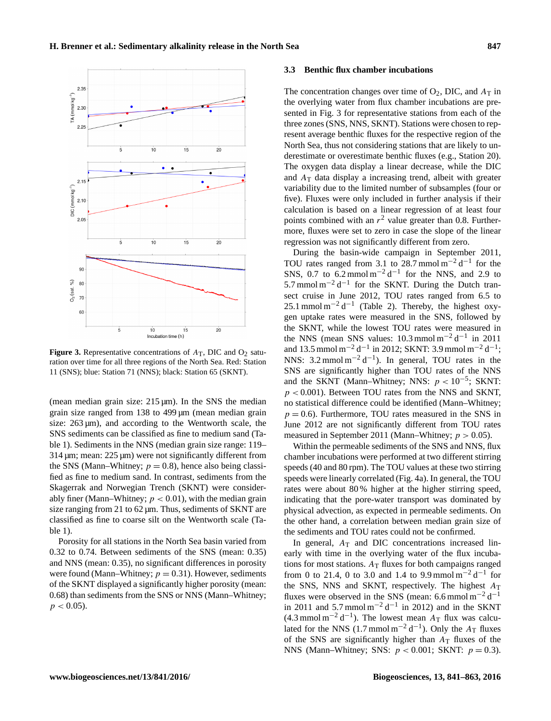<span id="page-6-0"></span>

**Figure 3.** Representative concentrations of  $A_T$ , DIC and  $O_2$  saturation over time for all three regions of the North Sea. Red: Station 11 (SNS); blue: Station 71 (NNS); black: Station 65 (SKNT).

(mean median grain size:  $215 \mu m$ ). In the SNS the median grain size ranged from 138 to 499 µm (mean median grain size:  $263 \mu m$ , and according to the Wentworth scale, the SNS sediments can be classified as fine to medium sand (Table [1\)](#page-3-0). Sediments in the NNS (median grain size range: 119–  $314 \,\mu m$ ; mean:  $225 \,\mu m$ ) were not significantly different from the SNS (Mann–Whitney;  $p = 0.8$ ), hence also being classified as fine to medium sand. In contrast, sediments from the Skagerrak and Norwegian Trench (SKNT) were considerably finer (Mann–Whitney;  $p < 0.01$ ), with the median grain size ranging from 21 to 62  $\mu$ m. Thus, sediments of SKNT are classified as fine to coarse silt on the Wentworth scale (Table [1\)](#page-3-0).

Porosity for all stations in the North Sea basin varied from 0.32 to 0.74. Between sediments of the SNS (mean: 0.35) and NNS (mean: 0.35), no significant differences in porosity were found (Mann–Whitney;  $p = 0.31$ ). However, sediments of the SKNT displayed a significantly higher porosity (mean: 0.68) than sediments from the SNS or NNS (Mann–Whitney;  $p < 0.05$ ).

#### <span id="page-6-1"></span>**3.3 Benthic flux chamber incubations**

The concentration changes over time of  $O_2$ , DIC, and  $A_T$  in the overlying water from flux chamber incubations are presented in Fig. [3](#page-6-0) for representative stations from each of the three zones (SNS, NNS, SKNT). Stations were chosen to represent average benthic fluxes for the respective region of the North Sea, thus not considering stations that are likely to underestimate or overestimate benthic fluxes (e.g., Station 20). The oxygen data display a linear decrease, while the DIC and  $A_T$  data display a increasing trend, albeit with greater variability due to the limited number of subsamples (four or five). Fluxes were only included in further analysis if their calculation is based on a linear regression of at least four points combined with an  $r^2$  value greater than 0.8. Furthermore, fluxes were set to zero in case the slope of the linear regression was not significantly different from zero.

During the basin-wide campaign in September 2011, TOU rates ranged from 3.1 to 28.7 mmol  $m^{-2} d^{-1}$  for the SNS, 0.7 to  $6.2 \text{ mmol m}^{-2} \text{d}^{-1}$  for the NNS, and 2.9 to 5.7 mmol m<sup>-2</sup> d<sup>-1</sup> for the SKNT. During the Dutch transect cruise in June 2012, TOU rates ranged from 6.5 to 25.1 mmol m<sup>-2</sup> d<sup>-1</sup> (Table [2\)](#page-7-0). Thereby, the highest oxygen uptake rates were measured in the SNS, followed by the SKNT, while the lowest TOU rates were measured in the NNS (mean SNS values:  $10.3 \text{ mmol m}^{-2} \text{d}^{-1}$  in 2011 and 13.5 mmol m<sup>-2</sup> d<sup>-1</sup> in 2012; SKNT: 3.9 mmol m<sup>-2</sup> d<sup>-1</sup>; NNS:  $3.2 \text{ mmol m}^{-2} \text{d}^{-1}$ ). In general, TOU rates in the SNS are significantly higher than TOU rates of the NNS and the SKNT (Mann–Whitney; NNS:  $p < 10^{-5}$ ; SKNT:  $p < 0.001$ ). Between TOU rates from the NNS and SKNT, no statistical difference could be identified (Mann–Whitney;  $p = 0.6$ ). Furthermore, TOU rates measured in the SNS in June 2012 are not significantly different from TOU rates measured in September 2011 (Mann–Whitney;  $p > 0.05$ ).

Within the permeable sediments of the SNS and NNS, flux chamber incubations were performed at two different stirring speeds (40 and 80 rpm). The TOU values at these two stirring speeds were linearly correlated (Fig. 4a). In general, the TOU rates were about 80 % higher at the higher stirring speed, indicating that the pore-water transport was dominated by physical advection, as expected in permeable sediments. On the other hand, a correlation between median grain size of the sediments and TOU rates could not be confirmed.

In general,  $A_T$  and DIC concentrations increased linearly with time in the overlying water of the flux incubations for most stations.  $A_T$  fluxes for both campaigns ranged from 0 to 21.4, 0 to 3.0 and 1.4 to 9.9 mmol  $m^{-2} d^{-1}$  for the SNS, NNS and SKNT, respectively. The highest  $A_T$ fluxes were observed in the SNS (mean: 6.6 mmol m<sup>-2</sup> d<sup>-1</sup> in 2011 and 5.7 mmol  $m^{-2} d^{-1}$  in 2012) and in the SKNT  $(4.3 \text{ mmol m}^{-2} \text{d}^{-1})$ . The lowest mean  $A_T$  flux was calculated for the NNS (1.7 mmol m<sup>-2</sup> d<sup>-1</sup>). Only the  $A_T$  fluxes of the SNS are significantly higher than  $A_T$  fluxes of the NNS (Mann–Whitney; SNS:  $p < 0.001$ ; SKNT:  $p = 0.3$ ).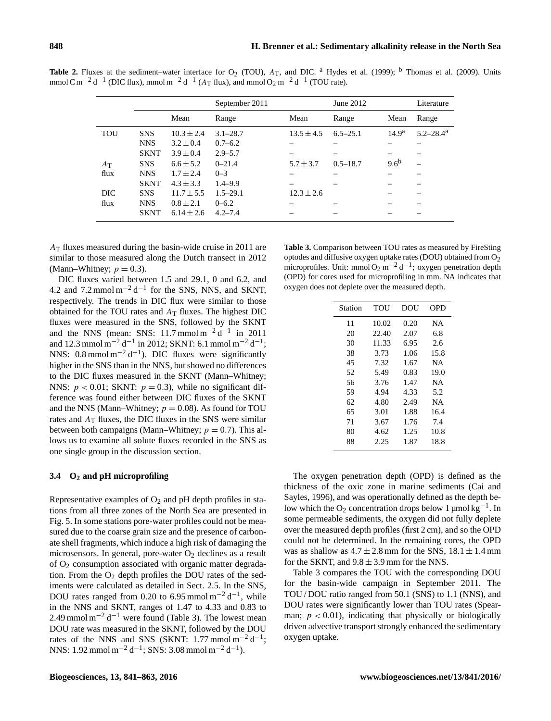|            |             |                | September 2011 |                | June 2012    |                   | Literature                |
|------------|-------------|----------------|----------------|----------------|--------------|-------------------|---------------------------|
|            |             | Mean           | Range          | Mean           | Range        | Mean              | Range                     |
| <b>TOU</b> | <b>SNS</b>  | $10.3 \pm 2.4$ | $3.1 - 28.7$   | $13.5 \pm 4.5$ | $6.5 - 25.1$ | 14.9 <sup>a</sup> | $5.2 - 28.4^{\mathrm{a}}$ |
|            | <b>NNS</b>  | $3.2 \pm 0.4$  | $0.7 - 6.2$    |                |              |                   |                           |
|            | <b>SKNT</b> | $3.9 \pm 0.4$  | $2.9 - 5.7$    |                |              |                   |                           |
| $A_T$      | <b>SNS</b>  | $6.6 \pm 5.2$  | $0 - 21.4$     | $5.7 \pm 3.7$  | $0.5 - 18.7$ | 9.6 <sup>b</sup>  |                           |
| flux       | <b>NNS</b>  | $1.7 \pm 2.4$  | $0 - 3$        |                |              |                   |                           |
|            | <b>SKNT</b> | $4.3 \pm 3.3$  | $1.4 - 9.9$    |                |              |                   |                           |
| DIC.       | <b>SNS</b>  | $11.7 \pm 5.5$ | $1.5 - 29.1$   | $12.3 \pm 2.6$ |              |                   |                           |
| flux       | <b>NNS</b>  | $0.8 \pm 2.1$  | $0 - 6.2$      |                |              |                   |                           |
|            | <b>SKNT</b> | $6.14 \pm 2.6$ | $4.2 - 7.4$    |                |              |                   |                           |

<span id="page-7-0"></span>**Table 2.** Fluxes at the sediment–water interface for  $O_2$  (TOU),  $A_T$ , and DIC. <sup>a</sup> [Hydes et al.](#page-20-17) [\(1999\)](#page-20-17); <sup>b</sup> [Thomas et al.](#page-22-1) [\(2009\)](#page-22-1). Units mmol C m<sup>-2</sup> d<sup>-1</sup> (DIC flux), mmol m<sup>-2</sup> d<sup>-1</sup> (A<sub>T</sub> flux), and mmol O<sub>2</sub> m<sup>-2</sup> d<sup>-1</sup> (TOU rate).

 $A<sub>T</sub>$  fluxes measured during the basin-wide cruise in 2011 are similar to those measured along the Dutch transect in 2012 (Mann–Whitney;  $p = 0.3$ ).

DIC fluxes varied between 1.5 and 29.1, 0 and 6.2, and 4.2 and  $7.2 \text{ mmol m}^{-2} \text{d}^{-1}$  for the SNS, NNS, and SKNT, respectively. The trends in DIC flux were similar to those obtained for the TOU rates and  $A_T$  fluxes. The highest DIC fluxes were measured in the SNS, followed by the SKNT and the NNS (mean: SNS: 11.7 mmol m<sup>-2</sup> d<sup>-1</sup> in 2011 and 12.3 mmol m<sup>-2</sup> d<sup>-1</sup> in 2012; SKNT: 6.1 mmol m<sup>-2</sup> d<sup>-1</sup>; NNS:  $0.8 \text{ mmol m}^{-2} \text{d}^{-1}$ ). DIC fluxes were significantly higher in the SNS than in the NNS, but showed no differences to the DIC fluxes measured in the SKNT (Mann–Whitney; NNS:  $p < 0.01$ ; SKNT:  $p = 0.3$ ), while no significant difference was found either between DIC fluxes of the SKNT and the NNS (Mann–Whitney;  $p = 0.08$ ). As found for TOU rates and  $A_T$  fluxes, the DIC fluxes in the SNS were similar between both campaigns (Mann–Whitney;  $p = 0.7$ ). This allows us to examine all solute fluxes recorded in the SNS as one single group in the discussion section.

# **3.4 O<sup>2</sup> and pH microprofiling**

Representative examples of  $O_2$  and pH depth profiles in stations from all three zones of the North Sea are presented in Fig. [5.](#page-8-0) In some stations pore-water profiles could not be measured due to the coarse grain size and the presence of carbonate shell fragments, which induce a high risk of damaging the microsensors. In general, pore-water  $O_2$  declines as a result of  $O<sub>2</sub>$  consumption associated with organic matter degradation. From the  $O_2$  depth profiles the DOU rates of the sediments were calculated as detailed in Sect. [2.5.](#page-5-1) In the SNS, DOU rates ranged from 0.20 to 6.95 mmol  $m^{-2} d^{-1}$ , while in the NNS and SKNT, ranges of 1.47 to 4.33 and 0.83 to 2.49 mmol m<sup>-2</sup> d<sup>-1</sup> were found (Table [3\)](#page-7-1). The lowest mean DOU rate was measured in the SKNT, followed by the DOU rates of the NNS and SNS (SKNT: 1.77 mmol m<sup>-2</sup> d<sup>-1</sup>; NNS:  $1.92 \text{ mmol m}^{-2} \text{d}^{-1}$ ; SNS:  $3.08 \text{ mmol m}^{-2} \text{d}^{-1}$ ).

<span id="page-7-1"></span>**Table 3.** Comparison between TOU rates as measured by FireSting optodes and diffusive oxygen uptake rates (DOU) obtained from O2 microprofiles. Unit: mmol O<sub>2</sub> m<sup>-2</sup> d<sup>-1</sup>; oxygen penetration depth (OPD) for cores used for microprofiling in mm. NA indicates that oxygen does not deplete over the measured depth.

| Station | TOU   | DOU  | OPD       |
|---------|-------|------|-----------|
| 11      | 10.02 | 0.20 | <b>NA</b> |
| 20      | 22.40 | 2.07 | 6.8       |
| 30      | 11.33 | 6.95 | 2.6       |
| 38      | 3.73  | 1.06 | 15.8      |
| 45      | 7.32  | 1.67 | NA        |
| 52      | 5.49  | 0.83 | 19.0      |
| 56      | 3.76  | 1.47 | NA        |
| 59      | 4.94  | 4.33 | 5.2       |
| 62      | 4.80  | 2.49 | NA        |
| 65      | 3.01  | 1.88 | 16.4      |
| 71      | 3.67  | 1.76 | 7.4       |
| 80      | 4.62  | 1.25 | 10.8      |
| 88      | 2.25  | 1.87 | 18.8      |

The oxygen penetration depth (OPD) is defined as the thickness of the oxic zone in marine sediments [\(Cai and](#page-20-18) [Sayles,](#page-20-18) [1996\)](#page-20-18), and was operationally defined as the depth below which the O<sub>2</sub> concentration drops below 1 µmol  $kg^{-1}$ . In some permeable sediments, the oxygen did not fully deplete over the measured depth profiles (first 2 cm), and so the OPD could not be determined. In the remaining cores, the OPD was as shallow as  $4.7 \pm 2.8$  mm for the SNS,  $18.1 \pm 1.4$  mm for the SKNT, and  $9.8 \pm 3.9$  mm for the NNS.

Table [3](#page-7-1) compares the TOU with the corresponding DOU for the basin-wide campaign in September 2011. The TOU / DOU ratio ranged from 50.1 (SNS) to 1.1 (NNS), and DOU rates were significantly lower than TOU rates (Spearman;  $p < 0.01$ ), indicating that physically or biologically driven advective transport strongly enhanced the sedimentary oxygen uptake.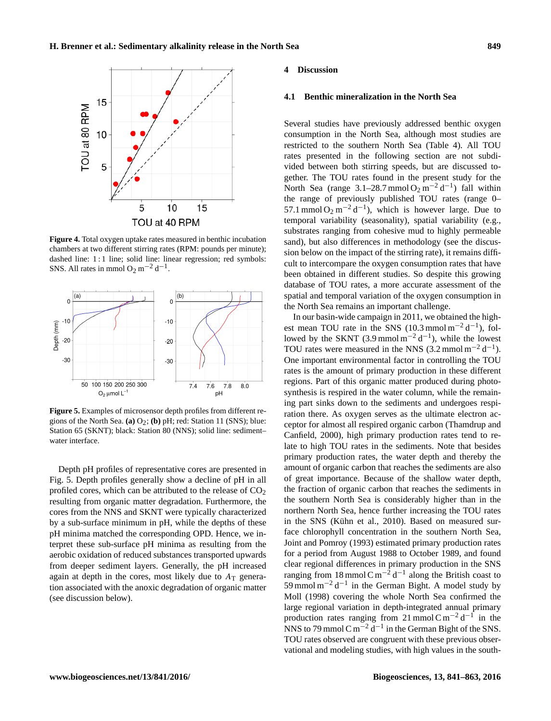<span id="page-8-1"></span>

**Figure 4.** Total oxygen uptake rates measured in benthic incubation chambers at two different stirring rates (RPM: pounds per minute); dashed line: 1 : 1 line; solid line: linear regression; red symbols: SNS. All rates in mmol  $O_2$  m<sup>-2</sup> d<sup>-1</sup>.

<span id="page-8-0"></span>

**Figure 5.** Examples of microsensor depth profiles from different regions of the North Sea. **(a)**  $O_2$ ; **(b)** pH; red: Station 11 (SNS); blue: Station 65 (SKNT); black: Station 80 (NNS); solid line: sediment– water interface.

Depth pH profiles of representative cores are presented in Fig. [5.](#page-8-0) Depth profiles generally show a decline of pH in all profiled cores, which can be attributed to the release of  $CO<sub>2</sub>$ resulting from organic matter degradation. Furthermore, the cores from the NNS and SKNT were typically characterized by a sub-surface minimum in pH, while the depths of these pH minima matched the corresponding OPD. Hence, we interpret these sub-surface pH minima as resulting from the aerobic oxidation of reduced substances transported upwards from deeper sediment layers. Generally, the pH increased again at depth in the cores, most likely due to  $A_T$  generation associated with the anoxic degradation of organic matter (see discussion below).

#### **4 Discussion**

# **4.1 Benthic mineralization in the North Sea**

Several studies have previously addressed benthic oxygen consumption in the North Sea, although most studies are restricted to the southern North Sea (Table [4\)](#page-9-0). All TOU rates presented in the following section are not subdivided between both stirring speeds, but are discussed together. The TOU rates found in the present study for the North Sea (range  $3.1-28.7$  mmol O<sub>2</sub> m<sup>-2</sup> d<sup>-1</sup>) fall within the range of previously published TOU rates (range 0– 57.1 mmol  $O_2$  m<sup>-2</sup> d<sup>-1</sup>), which is however large. Due to temporal variability (seasonality), spatial variability (e.g., substrates ranging from cohesive mud to highly permeable sand), but also differences in methodology (see the discussion below on the impact of the stirring rate), it remains difficult to intercompare the oxygen consumption rates that have been obtained in different studies. So despite this growing database of TOU rates, a more accurate assessment of the spatial and temporal variation of the oxygen consumption in the North Sea remains an important challenge.

In our basin-wide campaign in 2011, we obtained the highest mean TOU rate in the SNS (10.3 mmol m<sup>-2</sup> d<sup>-1</sup>), followed by the SKNT (3.9 mmol  $m^{-2} d^{-1}$ ), while the lowest TOU rates were measured in the NNS (3.2 mmol  $m^{-2} d^{-1}$ ). One important environmental factor in controlling the TOU rates is the amount of primary production in these different regions. Part of this organic matter produced during photosynthesis is respired in the water column, while the remaining part sinks down to the sediments and undergoes respiration there. As oxygen serves as the ultimate electron acceptor for almost all respired organic carbon [\(Thamdrup and](#page-22-10) [Canfield,](#page-22-10) [2000\)](#page-22-10), high primary production rates tend to relate to high TOU rates in the sediments. Note that besides primary production rates, the water depth and thereby the amount of organic carbon that reaches the sediments are also of great importance. Because of the shallow water depth, the fraction of organic carbon that reaches the sediments in the southern North Sea is considerably higher than in the northern North Sea, hence further increasing the TOU rates in the SNS [\(Kühn et al.,](#page-21-10) [2010\)](#page-21-10). Based on measured surface chlorophyll concentration in the southern North Sea, [Joint and Pomroy](#page-21-11) [\(1993\)](#page-21-11) estimated primary production rates for a period from August 1988 to October 1989, and found clear regional differences in primary production in the SNS ranging from 18 mmol C m<sup>-2</sup> d<sup>-1</sup> along the British coast to 59 mmol m<sup>-2</sup> d<sup>-1</sup> in the German Bight. A model study by [Moll](#page-21-12) [\(1998\)](#page-21-12) covering the whole North Sea confirmed the large regional variation in depth-integrated annual primary production rates ranging from 21 mmol C m<sup>-2</sup> d<sup>-1</sup> in the NNS to 79 mmol C m<sup>-2</sup> d<sup>-1</sup> in the German Bight of the SNS. TOU rates observed are congruent with these previous observational and modeling studies, with high values in the south-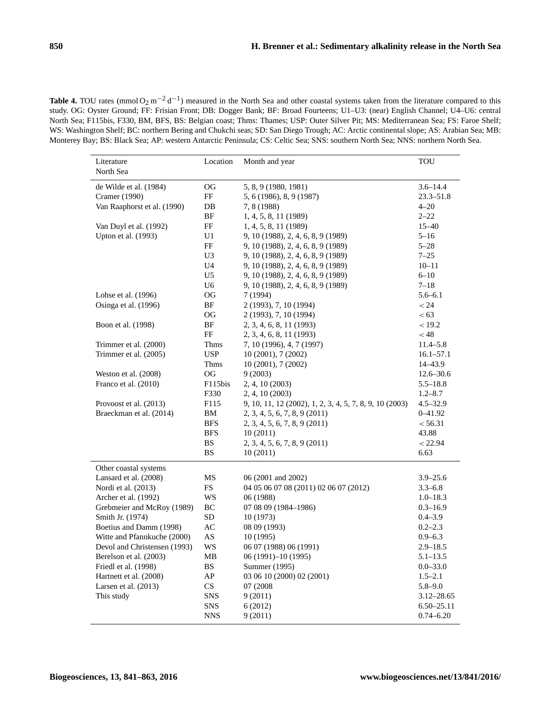<span id="page-9-0"></span>**Table 4.** TOU rates (mmol  $O_2$  m<sup>-2</sup> d<sup>-1</sup>) measured in the North Sea and other coastal systems taken from the literature compared to this study. OG: Oyster Ground; FF: Frisian Front; DB: Dogger Bank; BF: Broad Fourteens; U1–U3: (near) English Channel; U4–U6: central North Sea; F115bis, F330, BM, BFS, BS: Belgian coast; Thms: Thames; USP: Outer Silver Pit; MS: Mediterranean Sea; FS: Faroe Shelf; WS: Washington Shelf; BC: northern Bering and Chukchi seas; SD: San Diego Trough; AC: Arctic continental slope; AS: Arabian Sea; MB: Monterey Bay; BS: Black Sea; AP: western Antarctic Peninsula; CS: Celtic Sea; SNS: southern North Sea; NNS: northern North Sea.

| Literature<br>North Sea                     | Location        | Month and year                                          | TOU                         |
|---------------------------------------------|-----------------|---------------------------------------------------------|-----------------------------|
| de Wilde et al. (1984)                      | OG              | 5, 8, 9 (1980, 1981)                                    | $3.6 - 14.4$                |
| Cramer (1990)                               | FF              | 5, 6 (1986), 8, 9 (1987)                                | $23.3 - 51.8$               |
| Van Raaphorst et al. (1990)                 | DB              | 7, 8 (1988)                                             | $4 - 20$                    |
|                                             | BF              | 1, 4, 5, 8, 11 (1989)                                   | $2 - 22$                    |
| Van Duyl et al. (1992)                      | FF              | 1, 4, 5, 8, 11 (1989)                                   | $15 - 40$                   |
| Upton et al. (1993)                         | U1              | 9, 10 (1988), 2, 4, 6, 8, 9 (1989)                      | $5 - 16$                    |
|                                             | FF              | 9, 10 (1988), 2, 4, 6, 8, 9 (1989)                      | $5 - 28$                    |
|                                             | U <sub>3</sub>  | 9, 10 (1988), 2, 4, 6, 8, 9 (1989)                      | $7 - 25$                    |
|                                             | U <sub>4</sub>  | 9, 10 (1988), 2, 4, 6, 8, 9 (1989)                      | $10 - 11$                   |
|                                             | U <sub>5</sub>  | 9, 10 (1988), 2, 4, 6, 8, 9 (1989)                      | $6 - 10$                    |
|                                             | U <sub>6</sub>  | 9, 10 (1988), 2, 4, 6, 8, 9 (1989)                      | $7 - 18$                    |
| Lohse et al. (1996)                         | <b>OG</b>       | 7 (1994)                                                | $5.6 - 6.1$                 |
| Osinga et al. (1996)                        | BF              | 2 (1993), 7, 10 (1994)                                  | < 24                        |
|                                             | OG              | 2 (1993), 7, 10 (1994)                                  | < 63                        |
| Boon et al. (1998)                          | BF              | 2, 3, 4, 6, 8, 11 (1993)                                | < 19.2                      |
|                                             | FF              | 2, 3, 4, 6, 8, 11 (1993)                                | $<$ 48                      |
| Trimmer et al. (2000)                       | Thms            | 7, 10 (1996), 4, 7 (1997)                               | $11.4 - 5.8$                |
| Trimmer et al. (2005)                       | <b>USP</b>      | 10 (2001), 7 (2002)                                     | $16.1 - 57.1$               |
|                                             | <b>Thms</b>     | 10 (2001), 7 (2002)                                     | $14 - 43.9$                 |
| Weston et al. $(2008)$                      | OG              | 9(2003)                                                 | $12.6 - 30.6$               |
| Franco et al. (2010)                        | F115bis         | 2, 4, 10 (2003)                                         | $5.5 - 18.8$                |
|                                             | F330            | 2, 4, 10 (2003)                                         | $1.2 - 8.7$                 |
| Provoost et al. (2013)                      | F115            | 9, 10, 11, 12 (2002), 1, 2, 3, 4, 5, 7, 8, 9, 10 (2003) | $4.5 - 32.9$                |
| Braeckman et al. (2014)                     | BM              | $2, 3, 4, 5, 6, 7, 8, 9$ (2011)                         | $0 - 41.92$                 |
|                                             | <b>BFS</b>      | 2, 3, 4, 5, 6, 7, 8, 9 (2011)                           | < 56.31                     |
|                                             | <b>BFS</b>      | 10(2011)                                                | 43.88                       |
|                                             | BS              | 2, 3, 4, 5, 6, 7, 8, 9 (2011)                           | < 22.94                     |
|                                             | <b>BS</b>       | 10 (2011)                                               | 6.63                        |
| Other coastal systems                       |                 |                                                         |                             |
| Lansard et al. (2008)                       | MS              | 06 (2001 and 2002)                                      | $3.9 - 25.6$                |
| Nordi et al. (2013)<br>Archer et al. (1992) | <b>FS</b><br>WS | 04 05 06 07 08 (2011) 02 06 07 (2012)<br>06 (1988)      | $3.3 - 6.8$<br>$1.0 - 18.3$ |
| Grebmeier and McRoy (1989)                  | ВC              | 07 08 09 (1984-1986)                                    | $0.3 - 16.9$                |
| Smith Jr. (1974)                            | SD              | 10(1973)                                                | $0.4 - 3.9$                 |
| Boetius and Damm (1998)                     | AC              | 08 09 (1993)                                            | $0.2 - 2.3$                 |
| Witte and Pfannkuche (2000)                 | AS              | 10(1995)                                                | $0.9 - 6.3$                 |
| Devol and Christensen (1993)                | WS              | 06 07 (1988) 06 (1991)                                  | $2.9 - 18.5$                |
| Berelson et al. (2003)                      | MB              | 06 (1991)-10 (1995)                                     | $5.1 - 13.5$                |
| Friedl et al. (1998)                        | <b>BS</b>       | Summer (1995)                                           | $0.0 - 33.0$                |
| Hartnett et al. (2008)                      | AP              | 03 06 10 (2000) 02 (2001)                               | $1.5 - 2.1$                 |
| Larsen et al. (2013)                        | <b>CS</b>       | 07 (2008)                                               | $5.8 - 9.0$                 |
| This study                                  | <b>SNS</b>      | 9(2011)                                                 | $3.12 - 28.65$              |
|                                             | <b>SNS</b>      | 6(2012)                                                 | $6.50 - 25.11$              |
|                                             | <b>NNS</b>      | 9(2011)                                                 | $0.74 - 6.20$               |
|                                             |                 |                                                         |                             |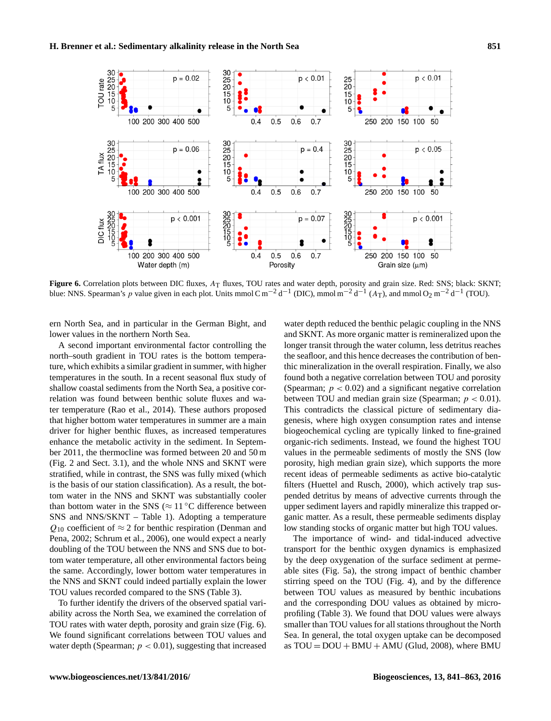<span id="page-10-0"></span>

Figure 6. Correlation plots between DIC fluxes, AT fluxes, TOU rates and water depth, porosity and grain size. Red: SNS; black: SKNT; blue: NNS. Spearman's p value given in each plot. Units mmol C m<sup>-2</sup> d<sup>-1</sup> (DIC), mmol m<sup>-2</sup> d<sup>-1</sup> (A<sub>T</sub>), and mmol O<sub>2</sub> m<sup>-2</sup> d<sup>-1</sup> (TOU).

ern North Sea, and in particular in the German Bight, and lower values in the northern North Sea.

A second important environmental factor controlling the north–south gradient in TOU rates is the bottom temperature, which exhibits a similar gradient in summer, with higher temperatures in the south. In a recent seasonal flux study of shallow coastal sediments from the North Sea, a positive correlation was found between benthic solute fluxes and water temperature [\(Rao et al.,](#page-21-13) [2014\)](#page-21-13). These authors proposed that higher bottom water temperatures in summer are a main driver for higher benthic fluxes, as increased temperatures enhance the metabolic activity in the sediment. In September 2011, the thermocline was formed between 20 and 50 m (Fig. [2](#page-5-0) and Sect. [3.1\)](#page-5-2), and the whole NNS and SKNT were stratified, while in contrast, the SNS was fully mixed (which is the basis of our station classification). As a result, the bottom water in the NNS and SKNT was substantially cooler than bottom water in the SNS ( $\approx$  11 °C difference between SNS and NNS/SKNT – Table [1\)](#page-3-0). Adopting a temperature  $Q_{10}$  coefficient of  $\approx$  2 for benthic respiration [\(Denman and](#page-20-19) [Pena,](#page-20-19) [2002;](#page-20-19) [Schrum et al.,](#page-22-11) [2006\)](#page-22-11), one would expect a nearly doubling of the TOU between the NNS and SNS due to bottom water temperature, all other environmental factors being the same. Accordingly, lower bottom water temperatures in the NNS and SKNT could indeed partially explain the lower TOU values recorded compared to the SNS (Table [3\)](#page-7-1).

To further identify the drivers of the observed spatial variability across the North Sea, we examined the correlation of TOU rates with water depth, porosity and grain size (Fig. [6\)](#page-10-0). We found significant correlations between TOU values and water depth (Spearman;  $p < 0.01$ ), suggesting that increased water depth reduced the benthic pelagic coupling in the NNS and SKNT. As more organic matter is remineralized upon the longer transit through the water column, less detritus reaches the seafloor, and this hence decreases the contribution of benthic mineralization in the overall respiration. Finally, we also found both a negative correlation between TOU and porosity (Spearman;  $p < 0.02$ ) and a significant negative correlation between TOU and median grain size (Spearman;  $p < 0.01$ ). This contradicts the classical picture of sedimentary diagenesis, where high oxygen consumption rates and intense biogeochemical cycling are typically linked to fine-grained organic-rich sediments. Instead, we found the highest TOU values in the permeable sediments of mostly the SNS (low porosity, high median grain size), which supports the more recent ideas of permeable sediments as active bio-catalytic filters [\(Huettel and Rusch,](#page-20-20) [2000\)](#page-20-20), which actively trap suspended detritus by means of advective currents through the upper sediment layers and rapidly mineralize this trapped organic matter. As a result, these permeable sediments display low standing stocks of organic matter but high TOU values.

The importance of wind- and tidal-induced advective transport for the benthic oxygen dynamics is emphasized by the deep oxygenation of the surface sediment at permeable sites (Fig. [5a](#page-8-0)), the strong impact of benthic chamber stirring speed on the TOU (Fig. [4\)](#page-8-1), and by the difference between TOU values as measured by benthic incubations and the corresponding DOU values as obtained by microprofiling (Table [3\)](#page-7-1). We found that DOU values were always smaller than TOU values for all stations throughout the North Sea. In general, the total oxygen uptake can be decomposed as  $TOU = DOU + BMU + AMU$  [\(Glud,](#page-20-14) [2008\)](#page-20-14), where BMU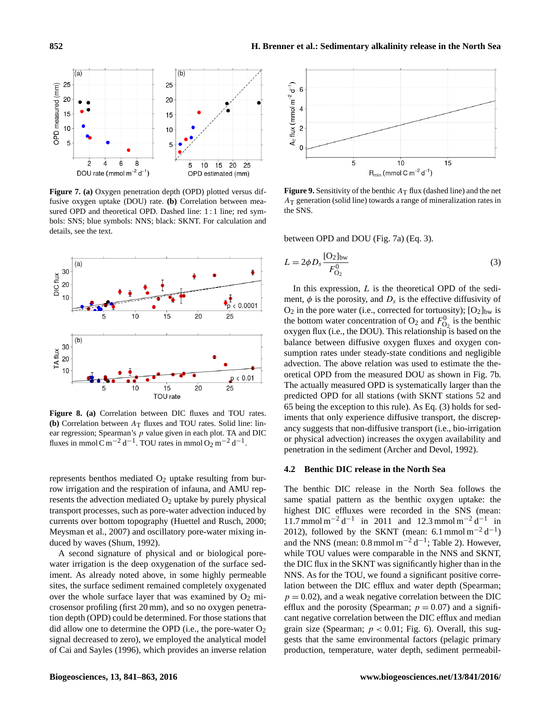<span id="page-11-1"></span>

**Figure 7. (a)** Oxygen penetration depth (OPD) plotted versus diffusive oxygen uptake (DOU) rate. **(b)** Correlation between measured OPD and theoretical OPD. Dashed line: 1:1 line; red symbols: SNS; blue symbols: NNS; black: SKNT. For calculation and details, see the text.

<span id="page-11-0"></span>

**Figure 8. (a)** Correlation between DIC fluxes and TOU rates. **(b)** Correlation between  $A_T$  fluxes and TOU rates. Solid line: linear regression; Spearman's  $p$  value given in each plot. TA and DIC fluxes in mmol C m<sup>-2</sup> d<sup>-1</sup>. TOU rates in mmol O<sub>2</sub> m<sup>-2</sup> d<sup>-1</sup>.

represents benthos mediated  $O_2$  uptake resulting from burrow irrigation and the respiration of infauna, and AMU represents the advection mediated  $O_2$  uptake by purely physical transport processes, such as pore-water advection induced by currents over bottom topography [\(Huettel and Rusch,](#page-20-20) [2000;](#page-20-20) [Meysman et al.,](#page-21-14) [2007\)](#page-21-14) and oscillatory pore-water mixing induced by waves [\(Shum,](#page-22-12) [1992\)](#page-22-12).

A second signature of physical and or biological porewater irrigation is the deep oxygenation of the surface sediment. As already noted above, in some highly permeable sites, the surface sediment remained completely oxygenated over the whole surface layer that was examined by  $O_2$  microsensor profiling (first 20 mm), and so no oxygen penetration depth (OPD) could be determined. For those stations that did allow one to determine the OPD (i.e., the pore-water  $O_2$ ) signal decreased to zero), we employed the analytical model of [Cai and Sayles](#page-20-18) [\(1996\)](#page-20-18), which provides an inverse relation

<span id="page-11-3"></span>

**Figure 9.** Sensitivity of the benthic  $A_T$  flux (dashed line) and the net  $A<sub>T</sub>$  generation (solid line) towards a range of mineralization rates in the SNS.

<span id="page-11-2"></span>between OPD and DOU (Fig. [7a](#page-11-1)) (Eq. [3\)](#page-11-2).

$$
L = 2\phi D_s \frac{[O_2]_{bw}}{F_{O_2}^0}
$$
 (3)

In this expression,  $L$  is the theoretical OPD of the sediment,  $\phi$  is the porosity, and  $D_s$  is the effective diffusivity of  $O_2$  in the pore water (i.e., corrected for tortuosity);  $[O_2]_{bw}$  is the bottom water concentration of  $O_2$  and  $F_{O_2}^0$  is the benthic oxygen flux (i.e., the DOU). This relationship is based on the balance between diffusive oxygen fluxes and oxygen consumption rates under steady-state conditions and negligible advection. The above relation was used to estimate the theoretical OPD from the measured DOU as shown in Fig. [7b](#page-11-1). The actually measured OPD is systematically larger than the predicted OPD for all stations (with SKNT stations 52 and 65 being the exception to this rule). As Eq. [\(3\)](#page-11-2) holds for sediments that only experience diffusive transport, the discrepancy suggests that non-diffusive transport (i.e., bio-irrigation or physical advection) increases the oxygen availability and penetration in the sediment [\(Archer and Devol,](#page-19-5) [1992\)](#page-19-5).

# **4.2 Benthic DIC release in the North Sea**

The benthic DIC release in the North Sea follows the same spatial pattern as the benthic oxygen uptake: the highest DIC effluxes were recorded in the SNS (mean: 11.7 mmol m<sup>-2</sup> d<sup>-1</sup> in 2011 and 12.3 mmol m<sup>-2</sup> d<sup>-1</sup> in 2012), followed by the SKNT (mean: 6.1 mmol  $m^{-2} d^{-1}$ ) and the NNS (mean:  $0.8$  mmol m<sup>-2</sup> d<sup>-1</sup>; Table [2\)](#page-7-0). However, while TOU values were comparable in the NNS and SKNT, the DIC flux in the SKNT was significantly higher than in the NNS. As for the TOU, we found a significant positive correlation between the DIC efflux and water depth (Spearman;  $p = 0.02$ ), and a weak negative correlation between the DIC efflux and the porosity (Spearman;  $p = 0.07$ ) and a significant negative correlation between the DIC efflux and median grain size (Spearman;  $p < 0.01$ ; Fig. [6\)](#page-10-0). Overall, this suggests that the same environmental factors (pelagic primary production, temperature, water depth, sediment permeabil-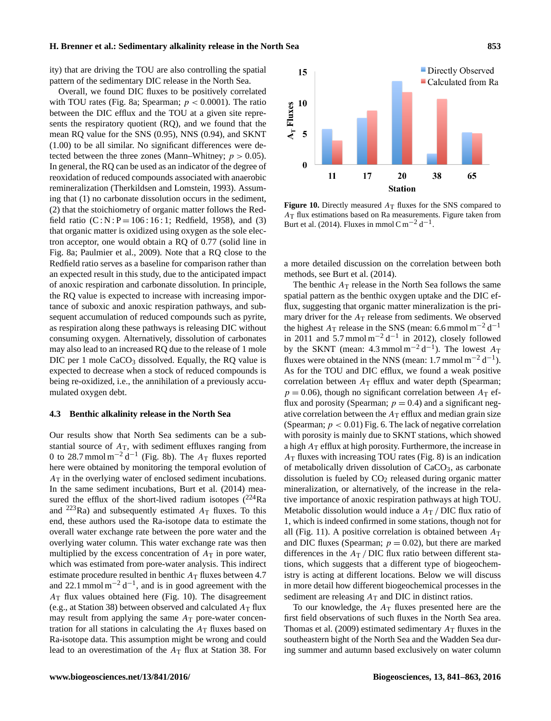ity) that are driving the TOU are also controlling the spatial pattern of the sedimentary DIC release in the North Sea.

Overall, we found DIC fluxes to be positively correlated with TOU rates (Fig. [8a](#page-11-0); Spearman;  $p < 0.0001$ ). The ratio between the DIC efflux and the TOU at a given site represents the respiratory quotient (RQ), and we found that the mean RQ value for the SNS (0.95), NNS (0.94), and SKNT (1.00) to be all similar. No significant differences were detected between the three zones (Mann–Whitney;  $p > 0.05$ ). In general, the RQ can be used as an indicator of the degree of reoxidation of reduced compounds associated with anaerobic remineralization [\(Therkildsen and Lomstein,](#page-22-13) [1993\)](#page-22-13). Assuming that (1) no carbonate dissolution occurs in the sediment, (2) that the stoichiometry of organic matter follows the Redfield ratio  $(C : N : P = 106 : 16 : 1$ ; [Redfield,](#page-21-15) [1958\)](#page-21-15), and (3) that organic matter is oxidized using oxygen as the sole electron acceptor, one would obtain a RQ of 0.77 (solid line in Fig. [8a](#page-11-0); [Paulmier et al.,](#page-21-16) [2009\)](#page-21-16). Note that a RQ close to the Redfield ratio serves as a baseline for comparison rather than an expected result in this study, due to the anticipated impact of anoxic respiration and carbonate dissolution. In principle, the RQ value is expected to increase with increasing importance of suboxic and anoxic respiration pathways, and subsequent accumulation of reduced compounds such as pyrite, as respiration along these pathways is releasing DIC without consuming oxygen. Alternatively, dissolution of carbonates may also lead to an increased RQ due to the release of 1 mole DIC per 1 mole  $CaCO<sub>3</sub>$  dissolved. Equally, the RQ value is expected to decrease when a stock of reduced compounds is being re-oxidized, i.e., the annihilation of a previously accumulated oxygen debt.

#### **4.3 Benthic alkalinity release in the North Sea**

Our results show that North Sea sediments can be a substantial source of  $A_T$ , with sediment effluxes ranging from 0 to 28.7 mmol m<sup>-2</sup> d<sup>-1</sup> (Fig. [8b](#page-11-0)). The  $A_T$  fluxes reported here were obtained by monitoring the temporal evolution of  $A_T$  in the overlying water of enclosed sediment incubations. In the same sediment incubations, [Burt et al.](#page-19-6) [\(2014\)](#page-19-6) measured the efflux of the short-lived radium isotopes  $(^{224}Ra)$ and <sup>223</sup>Ra) and subsequently estimated  $A_T$  fluxes. To this end, these authors used the Ra-isotope data to estimate the overall water exchange rate between the pore water and the overlying water column. This water exchange rate was then multiplied by the excess concentration of  $A_T$  in pore water, which was estimated from pore-water analysis. This indirect estimate procedure resulted in benthic  $A_T$  fluxes between 4.7 and 22.1 mmol m<sup>-2</sup> d<sup>-1</sup>, and is in good agreement with the  $A_T$  flux values obtained here (Fig. [10\)](#page-12-0). The disagreement (e.g., at Station 38) between observed and calculated  $A_T$  flux may result from applying the same  $A_T$  pore-water concentration for all stations in calculating the  $A_T$  fluxes based on Ra-isotope data. This assumption might be wrong and could lead to an overestimation of the  $A_T$  flux at Station 38. For

<span id="page-12-0"></span>

**Figure 10.** Directly measured  $A_T$  fluxes for the SNS compared to AT flux estimations based on Ra measurements. Figure taken from [Burt et al.](#page-19-6) [\(2014\)](#page-19-6). Fluxes in mmol C m<sup>-2</sup> d<sup>-1</sup>.

a more detailed discussion on the correlation between both methods, see [Burt et al.](#page-19-6) [\(2014\)](#page-19-6).

The benthic  $A_T$  release in the North Sea follows the same spatial pattern as the benthic oxygen uptake and the DIC efflux, suggesting that organic matter mineralization is the primary driver for the  $A_T$  release from sediments. We observed the highest  $A_T$  release in the SNS (mean: 6.6 mmol m<sup>-2</sup> d<sup>-1</sup> in 2011 and  $5.7 \text{ mmol m}^{-2} \text{d}^{-1}$  in 2012), closely followed by the SKNT (mean:  $4.3 \text{ mmol m}^{-2} \text{d}^{-1}$ ). The lowest  $A_T$ fluxes were obtained in the NNS (mean: 1.7 mmol m<sup>-2</sup> d<sup>-1</sup>). As for the TOU and DIC efflux, we found a weak positive correlation between  $A_T$  efflux and water depth (Spearman;  $p = 0.06$ ), though no significant correlation between  $A_T$  efflux and porosity (Spearman;  $p = 0.4$ ) and a significant negative correlation between the  $A_T$  efflux and median grain size (Spearman;  $p < 0.01$ ) Fig. [6.](#page-10-0) The lack of negative correlation with porosity is mainly due to SKNT stations, which showed a high  $A_T$  efflux at high porosity. Furthermore, the increase in  $A_T$  fluxes with increasing TOU rates (Fig. [8\)](#page-11-0) is an indication of metabolically driven dissolution of CaCO<sub>3</sub>, as carbonate dissolution is fueled by  $CO<sub>2</sub>$  released during organic matter mineralization, or alternatively, of the increase in the relative importance of anoxic respiration pathways at high TOU. Metabolic dissolution would induce a  $A_T$  / DIC flux ratio of 1, which is indeed confirmed in some stations, though not for all (Fig. [11\)](#page-13-0). A positive correlation is obtained between  $A_T$ and DIC fluxes (Spearman;  $p = 0.02$ ), but there are marked differences in the  $A_T$  / DIC flux ratio between different stations, which suggests that a different type of biogeochemistry is acting at different locations. Below we will discuss in more detail how different biogeochemical processes in the sediment are releasing  $A_T$  and DIC in distinct ratios.

To our knowledge, the  $A_T$  fluxes presented here are the first field observations of such fluxes in the North Sea area. [Thomas et al.](#page-22-1) [\(2009\)](#page-22-1) estimated sedimentary  $A_T$  fluxes in the southeastern bight of the North Sea and the Wadden Sea during summer and autumn based exclusively on water column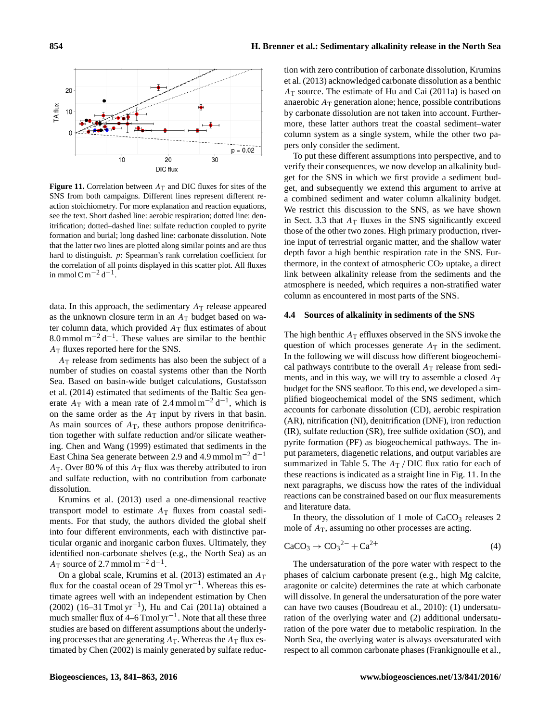<span id="page-13-0"></span>

**Figure 11.** Correlation between  $A_T$  and DIC fluxes for sites of the SNS from both campaigns. Different lines represent different reaction stoichiometry. For more explanation and reaction equations, see the text. Short dashed line: aerobic respiration; dotted line: denitrification; dotted–dashed line: sulfate reduction coupled to pyrite formation and burial; long dashed line: carbonate dissolution. Note that the latter two lines are plotted along similar points and are thus hard to distinguish. p: Spearman's rank correlation coefficient for the correlation of all points displayed in this scatter plot. All fluxes in mmol C m<sup>-2</sup> d<sup>-1</sup>.

data. In this approach, the sedimentary  $A_T$  release appeared as the unknown closure term in an  $A_T$  budget based on water column data, which provided  $A_T$  flux estimates of about 8.0 mmol m<sup>-2</sup> d<sup>-1</sup>. These values are similar to the benthic  $A_T$  fluxes reported here for the SNS.

 $A<sub>T</sub>$  release from sediments has also been the subject of a number of studies on coastal systems other than the North Sea. Based on basin-wide budget calculations, [Gustafsson](#page-20-21) [et al.](#page-20-21) [\(2014\)](#page-20-21) estimated that sediments of the Baltic Sea generate  $A_T$  with a mean rate of 2.4 mmol m<sup>-2</sup> d<sup>-1</sup>, which is on the same order as the  $A_T$  input by rivers in that basin. As main sources of  $A_T$ , these authors propose denitrification together with sulfate reduction and/or silicate weathering. [Chen and Wang](#page-20-3) [\(1999\)](#page-20-3) estimated that sediments in the East China Sea generate between 2.9 and 4.9 mmol  $m^{-2} d^{-1}$  $A_T$ . Over 80 % of this  $A_T$  flux was thereby attributed to iron and sulfate reduction, with no contribution from carbonate dissolution.

[Krumins et al.](#page-21-17) [\(2013\)](#page-21-17) used a one-dimensional reactive transport model to estimate  $A_T$  fluxes from coastal sediments. For that study, the authors divided the global shelf into four different environments, each with distinctive particular organic and inorganic carbon fluxes. Ultimately, they identified non-carbonate shelves (e.g., the North Sea) as an  $A_T$  source of 2.7 mmol m<sup>-2</sup> d<sup>-1</sup>.

On a global scale, [Krumins et al.](#page-21-17) [\(2013\)](#page-21-17) estimated an  $A_T$ flux for the coastal ocean of 29 Tmol yr−<sup>1</sup> . Whereas this estimate agrees well with an independent estimation by [Chen](#page-20-4) [\(2002\)](#page-20-4) (16–31 Tmol yr−<sup>1</sup> ), [Hu and Cai](#page-20-6) [\(2011a\)](#page-20-6) obtained a much smaller flux of  $4-6$  Tmol yr<sup>-1</sup>. Note that all these three studies are based on different assumptions about the underlying processes that are generating  $A_T$ . Whereas the  $A_T$  flux estimated by [Chen](#page-20-4) [\(2002\)](#page-20-4) is mainly generated by sulfate reduction with zero contribution of carbonate dissolution, [Krumins](#page-21-17) [et al.](#page-21-17) [\(2013\)](#page-21-17) acknowledged carbonate dissolution as a benthic  $A_T$  source. The estimate of [Hu and Cai](#page-20-6) [\(2011a\)](#page-20-6) is based on anaerobic  $A_T$  generation alone; hence, possible contributions by carbonate dissolution are not taken into account. Furthermore, these latter authors treat the coastal sediment–water column system as a single system, while the other two papers only consider the sediment.

To put these different assumptions into perspective, and to verify their consequences, we now develop an alkalinity budget for the SNS in which we first provide a sediment budget, and subsequently we extend this argument to arrive at a combined sediment and water column alkalinity budget. We restrict this discussion to the SNS, as we have shown in Sect. [3.3](#page-6-1) that  $A_T$  fluxes in the SNS significantly exceed those of the other two zones. High primary production, riverine input of terrestrial organic matter, and the shallow water depth favor a high benthic respiration rate in the SNS. Furthermore, in the context of atmospheric  $CO<sub>2</sub>$  uptake, a direct link between alkalinity release from the sediments and the atmosphere is needed, which requires a non-stratified water column as encountered in most parts of the SNS.

#### <span id="page-13-1"></span>**4.4 Sources of alkalinity in sediments of the SNS**

The high benthic  $A_T$  effluxes observed in the SNS invoke the question of which processes generate  $A_T$  in the sediment. In the following we will discuss how different biogeochemical pathways contribute to the overall  $A_T$  release from sediments, and in this way, we will try to assemble a closed  $A_T$ budget for the SNS seafloor. To this end, we developed a simplified biogeochemical model of the SNS sediment, which accounts for carbonate dissolution (CD), aerobic respiration (AR), nitrification (NI), denitrification (DNF), iron reduction (IR), sulfate reduction (SR), free sulfide oxidation (SO), and pyrite formation (PF) as biogeochemical pathways. The input parameters, diagenetic relations, and output variables are summarized in Table [5.](#page-14-0) The  $A_T$  / DIC flux ratio for each of these reactions is indicated as a straight line in Fig. [11.](#page-13-0) In the next paragraphs, we discuss how the rates of the individual reactions can be constrained based on our flux measurements and literature data.

<span id="page-13-2"></span>In theory, the dissolution of 1 mole of  $CaCO<sub>3</sub>$  releases 2 mole of  $A_T$ , assuming no other processes are acting.

$$
\text{CaCO}_3 \to \text{CO}_3{}^{2-} + \text{Ca}^{2+} \tag{4}
$$

The undersaturation of the pore water with respect to the phases of calcium carbonate present (e.g., high Mg calcite, aragonite or calcite) determines the rate at which carbonate will dissolve. In general the undersaturation of the pore water can have two causes [\(Boudreau et al.,](#page-19-7) [2010\)](#page-19-7): (1) undersaturation of the overlying water and (2) additional undersaturation of the pore water due to metabolic respiration. In the North Sea, the overlying water is always oversaturated with respect to all common carbonate phases [\(Frankignoulle et al.,](#page-20-22)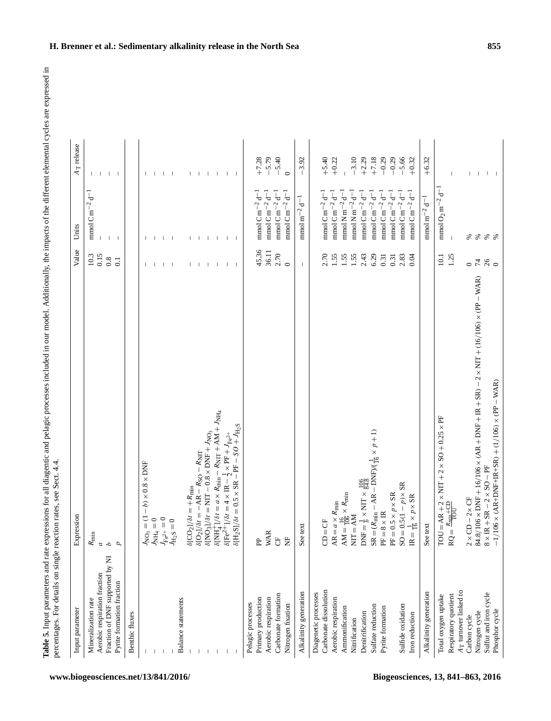<span id="page-14-0"></span>

| $\delta[\text{NH}_4^+]/\delta t = a \times R_{\text{min}} - R_{\text{NIT}} + \text{AM} + J_{\text{NH}_4}$<br>TOU = AR + 2 × NIT + 2 × SO + 0.25 × PF<br>RQ = $\frac{R_{\text{min}} + \text{CD}}{\text{TOU}}$<br>$\delta$ [H <sub>2</sub> S]/ $\delta t = 0.5 \times$ SR – PF – $SO + J_{\rm H2S}$<br>$= (R_{\min} - AR - DNF)/(\frac{1}{16} \times p + 1)$<br>$\delta {\rm [NO_3]} / \delta t = {\rm NIT} - 0.8 \times {\rm DNF} + J_{\rm NO_3}$<br>$\delta[\mathrm{Fe}^{2+1}]/\delta t = 4 \times \mathrm{IR} - \tfrac{1}{2} \times \mathrm{PF} + J_{\mathrm{Fe}^{2+}}$<br>$\delta [CO_2]/\delta t = +R_{\text{min}}$<br>$\delta [O_2]/\delta t = -AR - R_{\text{SO}} - R_{\text{NIT}}$<br>$-b) \times 0.8 \times$ DNF<br>$8 \times IR + SR - 2 \times SO - PF$<br>$DNF = \frac{1}{b} \times NIT \times \frac{106}{84.8}$<br>$SO = 0.5(1 - p) \times SR$<br>$= 0.5 \times p \times$ SR<br>$\begin{array}{l} \mathrm{AM} = \frac{16}{106} \times R_{\mathrm{min}} \\ \mathrm{NIT} = \mathrm{AM} \end{array}$<br>$\frac{1}{16} \times p \times \text{SR}$<br>$2\times$ CD $-2\times$ CF<br>$AR = a \times R_{min}$<br>$= 8 \times IR$<br>$I_{N O_3} = (1 -$<br>$I_{N H_4} = 0$<br>$J_{\text{H}_2\text{S}} = 0$ $J_{\text{H}_2\text{S}} = 0$<br>$CD = CF$<br>See text<br>See text<br><b>WAR</b><br>$\parallel$<br>$R_{\min}$<br>ö<br>旵<br>Ë<br>$\mathbf{S}$<br>呂<br>E<br>$\mathbb{R}$<br>$\overline{a}$<br>$\mathcal{L}_{\mathcal{L}}$<br>$\overline{p}$<br>Fraction of DNF supported by NI<br>Aerobic respiration fraction<br>Pyrite formation fraction<br>Carbonate dissolution<br>A <sub>T</sub> turnover linked to<br>Alkalinity generation<br>Alkalinity generation<br>Diagenetic processes<br>Sulfur and iron cycle<br>Carbonate formation<br>Respiratory quotient<br>Total oxygen uptake<br>Primary production<br>Aerobic respiration<br>Balance statements<br>Aerobic respiration<br>Mineralization rate<br>Pelagic processes<br>Nitrogen fixation<br>Sulfate reduction<br>Sulfide oxidation<br>Pyrite formation<br>Ammonification<br>Nitrogen cycle<br>Benthic fluxes<br>Denitrification<br>Iron reduction<br>Carbon cycle<br>Nitrification | Value<br>Expression                                                                               |          |                                                     | A <sub>T</sub> release |
|----------------------------------------------------------------------------------------------------------------------------------------------------------------------------------------------------------------------------------------------------------------------------------------------------------------------------------------------------------------------------------------------------------------------------------------------------------------------------------------------------------------------------------------------------------------------------------------------------------------------------------------------------------------------------------------------------------------------------------------------------------------------------------------------------------------------------------------------------------------------------------------------------------------------------------------------------------------------------------------------------------------------------------------------------------------------------------------------------------------------------------------------------------------------------------------------------------------------------------------------------------------------------------------------------------------------------------------------------------------------------------------------------------------------------------------------------------------------------------------------------------------------------------------------------------------------------------------------------------------------------------------------------------------------------------------------------------------------------------------------------------------------------------------------------------------------------------------------------------------------------------------------------------------------------------------------------------------------------------------------------------------------------------------------------------------------------------------------------------------------------------------------------|---------------------------------------------------------------------------------------------------|----------|-----------------------------------------------------|------------------------|
|                                                                                                                                                                                                                                                                                                                                                                                                                                                                                                                                                                                                                                                                                                                                                                                                                                                                                                                                                                                                                                                                                                                                                                                                                                                                                                                                                                                                                                                                                                                                                                                                                                                                                                                                                                                                                                                                                                                                                                                                                                                                                                                                                    |                                                                                                   | $10.3\,$ | mmol C m <sup><math>-2</math></sup> d <sup>--</sup> |                        |
|                                                                                                                                                                                                                                                                                                                                                                                                                                                                                                                                                                                                                                                                                                                                                                                                                                                                                                                                                                                                                                                                                                                                                                                                                                                                                                                                                                                                                                                                                                                                                                                                                                                                                                                                                                                                                                                                                                                                                                                                                                                                                                                                                    |                                                                                                   | 0.15     |                                                     | $\mathbf{I}$           |
|                                                                                                                                                                                                                                                                                                                                                                                                                                                                                                                                                                                                                                                                                                                                                                                                                                                                                                                                                                                                                                                                                                                                                                                                                                                                                                                                                                                                                                                                                                                                                                                                                                                                                                                                                                                                                                                                                                                                                                                                                                                                                                                                                    | 0.8                                                                                               |          |                                                     | -1                     |
|                                                                                                                                                                                                                                                                                                                                                                                                                                                                                                                                                                                                                                                                                                                                                                                                                                                                                                                                                                                                                                                                                                                                                                                                                                                                                                                                                                                                                                                                                                                                                                                                                                                                                                                                                                                                                                                                                                                                                                                                                                                                                                                                                    | $\overline{0}$                                                                                    |          | $1 - 1$                                             |                        |
|                                                                                                                                                                                                                                                                                                                                                                                                                                                                                                                                                                                                                                                                                                                                                                                                                                                                                                                                                                                                                                                                                                                                                                                                                                                                                                                                                                                                                                                                                                                                                                                                                                                                                                                                                                                                                                                                                                                                                                                                                                                                                                                                                    |                                                                                                   |          |                                                     |                        |
|                                                                                                                                                                                                                                                                                                                                                                                                                                                                                                                                                                                                                                                                                                                                                                                                                                                                                                                                                                                                                                                                                                                                                                                                                                                                                                                                                                                                                                                                                                                                                                                                                                                                                                                                                                                                                                                                                                                                                                                                                                                                                                                                                    |                                                                                                   |          |                                                     |                        |
|                                                                                                                                                                                                                                                                                                                                                                                                                                                                                                                                                                                                                                                                                                                                                                                                                                                                                                                                                                                                                                                                                                                                                                                                                                                                                                                                                                                                                                                                                                                                                                                                                                                                                                                                                                                                                                                                                                                                                                                                                                                                                                                                                    |                                                                                                   |          |                                                     |                        |
|                                                                                                                                                                                                                                                                                                                                                                                                                                                                                                                                                                                                                                                                                                                                                                                                                                                                                                                                                                                                                                                                                                                                                                                                                                                                                                                                                                                                                                                                                                                                                                                                                                                                                                                                                                                                                                                                                                                                                                                                                                                                                                                                                    |                                                                                                   |          |                                                     |                        |
|                                                                                                                                                                                                                                                                                                                                                                                                                                                                                                                                                                                                                                                                                                                                                                                                                                                                                                                                                                                                                                                                                                                                                                                                                                                                                                                                                                                                                                                                                                                                                                                                                                                                                                                                                                                                                                                                                                                                                                                                                                                                                                                                                    |                                                                                                   |          |                                                     |                        |
|                                                                                                                                                                                                                                                                                                                                                                                                                                                                                                                                                                                                                                                                                                                                                                                                                                                                                                                                                                                                                                                                                                                                                                                                                                                                                                                                                                                                                                                                                                                                                                                                                                                                                                                                                                                                                                                                                                                                                                                                                                                                                                                                                    |                                                                                                   |          |                                                     |                        |
|                                                                                                                                                                                                                                                                                                                                                                                                                                                                                                                                                                                                                                                                                                                                                                                                                                                                                                                                                                                                                                                                                                                                                                                                                                                                                                                                                                                                                                                                                                                                                                                                                                                                                                                                                                                                                                                                                                                                                                                                                                                                                                                                                    |                                                                                                   |          |                                                     |                        |
|                                                                                                                                                                                                                                                                                                                                                                                                                                                                                                                                                                                                                                                                                                                                                                                                                                                                                                                                                                                                                                                                                                                                                                                                                                                                                                                                                                                                                                                                                                                                                                                                                                                                                                                                                                                                                                                                                                                                                                                                                                                                                                                                                    |                                                                                                   |          |                                                     |                        |
|                                                                                                                                                                                                                                                                                                                                                                                                                                                                                                                                                                                                                                                                                                                                                                                                                                                                                                                                                                                                                                                                                                                                                                                                                                                                                                                                                                                                                                                                                                                                                                                                                                                                                                                                                                                                                                                                                                                                                                                                                                                                                                                                                    |                                                                                                   |          |                                                     |                        |
|                                                                                                                                                                                                                                                                                                                                                                                                                                                                                                                                                                                                                                                                                                                                                                                                                                                                                                                                                                                                                                                                                                                                                                                                                                                                                                                                                                                                                                                                                                                                                                                                                                                                                                                                                                                                                                                                                                                                                                                                                                                                                                                                                    |                                                                                                   |          |                                                     |                        |
|                                                                                                                                                                                                                                                                                                                                                                                                                                                                                                                                                                                                                                                                                                                                                                                                                                                                                                                                                                                                                                                                                                                                                                                                                                                                                                                                                                                                                                                                                                                                                                                                                                                                                                                                                                                                                                                                                                                                                                                                                                                                                                                                                    |                                                                                                   |          |                                                     |                        |
|                                                                                                                                                                                                                                                                                                                                                                                                                                                                                                                                                                                                                                                                                                                                                                                                                                                                                                                                                                                                                                                                                                                                                                                                                                                                                                                                                                                                                                                                                                                                                                                                                                                                                                                                                                                                                                                                                                                                                                                                                                                                                                                                                    |                                                                                                   |          |                                                     |                        |
|                                                                                                                                                                                                                                                                                                                                                                                                                                                                                                                                                                                                                                                                                                                                                                                                                                                                                                                                                                                                                                                                                                                                                                                                                                                                                                                                                                                                                                                                                                                                                                                                                                                                                                                                                                                                                                                                                                                                                                                                                                                                                                                                                    |                                                                                                   |          |                                                     |                        |
|                                                                                                                                                                                                                                                                                                                                                                                                                                                                                                                                                                                                                                                                                                                                                                                                                                                                                                                                                                                                                                                                                                                                                                                                                                                                                                                                                                                                                                                                                                                                                                                                                                                                                                                                                                                                                                                                                                                                                                                                                                                                                                                                                    |                                                                                                   |          |                                                     |                        |
|                                                                                                                                                                                                                                                                                                                                                                                                                                                                                                                                                                                                                                                                                                                                                                                                                                                                                                                                                                                                                                                                                                                                                                                                                                                                                                                                                                                                                                                                                                                                                                                                                                                                                                                                                                                                                                                                                                                                                                                                                                                                                                                                                    |                                                                                                   | 45.36    | mmol C m $^{-2}$ d <sup>-1</sup>                    | $+7.28$                |
|                                                                                                                                                                                                                                                                                                                                                                                                                                                                                                                                                                                                                                                                                                                                                                                                                                                                                                                                                                                                                                                                                                                                                                                                                                                                                                                                                                                                                                                                                                                                                                                                                                                                                                                                                                                                                                                                                                                                                                                                                                                                                                                                                    |                                                                                                   |          |                                                     |                        |
|                                                                                                                                                                                                                                                                                                                                                                                                                                                                                                                                                                                                                                                                                                                                                                                                                                                                                                                                                                                                                                                                                                                                                                                                                                                                                                                                                                                                                                                                                                                                                                                                                                                                                                                                                                                                                                                                                                                                                                                                                                                                                                                                                    |                                                                                                   | 36.11    | mmol C m $^{-2}$ d <sup>--</sup>                    | $-5.79$                |
|                                                                                                                                                                                                                                                                                                                                                                                                                                                                                                                                                                                                                                                                                                                                                                                                                                                                                                                                                                                                                                                                                                                                                                                                                                                                                                                                                                                                                                                                                                                                                                                                                                                                                                                                                                                                                                                                                                                                                                                                                                                                                                                                                    |                                                                                                   | 2.70     | $mmol$ C m <sup>-2</sup> d <sup>-1</sup>            | $-5.40$                |
|                                                                                                                                                                                                                                                                                                                                                                                                                                                                                                                                                                                                                                                                                                                                                                                                                                                                                                                                                                                                                                                                                                                                                                                                                                                                                                                                                                                                                                                                                                                                                                                                                                                                                                                                                                                                                                                                                                                                                                                                                                                                                                                                                    | $\circ$                                                                                           |          | mmol C m $^{-2}$ d <sup>-1</sup>                    | $\circ$                |
|                                                                                                                                                                                                                                                                                                                                                                                                                                                                                                                                                                                                                                                                                                                                                                                                                                                                                                                                                                                                                                                                                                                                                                                                                                                                                                                                                                                                                                                                                                                                                                                                                                                                                                                                                                                                                                                                                                                                                                                                                                                                                                                                                    |                                                                                                   |          | $mmol\,m^{-2}\,d^{-1}$                              | $-3.92$                |
|                                                                                                                                                                                                                                                                                                                                                                                                                                                                                                                                                                                                                                                                                                                                                                                                                                                                                                                                                                                                                                                                                                                                                                                                                                                                                                                                                                                                                                                                                                                                                                                                                                                                                                                                                                                                                                                                                                                                                                                                                                                                                                                                                    |                                                                                                   |          |                                                     |                        |
|                                                                                                                                                                                                                                                                                                                                                                                                                                                                                                                                                                                                                                                                                                                                                                                                                                                                                                                                                                                                                                                                                                                                                                                                                                                                                                                                                                                                                                                                                                                                                                                                                                                                                                                                                                                                                                                                                                                                                                                                                                                                                                                                                    |                                                                                                   | 2.70     | mmol C m $^{-2}$ d <sup>--</sup>                    | $+5.40$                |
|                                                                                                                                                                                                                                                                                                                                                                                                                                                                                                                                                                                                                                                                                                                                                                                                                                                                                                                                                                                                                                                                                                                                                                                                                                                                                                                                                                                                                                                                                                                                                                                                                                                                                                                                                                                                                                                                                                                                                                                                                                                                                                                                                    |                                                                                                   | 1.55     | mmol $\mathrm{C\,m^{-2}\,d^{-1}}$                   | $+0.22$                |
|                                                                                                                                                                                                                                                                                                                                                                                                                                                                                                                                                                                                                                                                                                                                                                                                                                                                                                                                                                                                                                                                                                                                                                                                                                                                                                                                                                                                                                                                                                                                                                                                                                                                                                                                                                                                                                                                                                                                                                                                                                                                                                                                                    |                                                                                                   | 1.55     | $mmol$ N m <sup>-2</sup> d <sup>-</sup>             |                        |
|                                                                                                                                                                                                                                                                                                                                                                                                                                                                                                                                                                                                                                                                                                                                                                                                                                                                                                                                                                                                                                                                                                                                                                                                                                                                                                                                                                                                                                                                                                                                                                                                                                                                                                                                                                                                                                                                                                                                                                                                                                                                                                                                                    |                                                                                                   | 1.55     | mmol N m $^{-2}$ d <sup>--</sup>                    | $-3.10$                |
|                                                                                                                                                                                                                                                                                                                                                                                                                                                                                                                                                                                                                                                                                                                                                                                                                                                                                                                                                                                                                                                                                                                                                                                                                                                                                                                                                                                                                                                                                                                                                                                                                                                                                                                                                                                                                                                                                                                                                                                                                                                                                                                                                    |                                                                                                   | 2.43     | mmol C m $^{-2}$ d <sup>--</sup>                    | $+2.29$                |
|                                                                                                                                                                                                                                                                                                                                                                                                                                                                                                                                                                                                                                                                                                                                                                                                                                                                                                                                                                                                                                                                                                                                                                                                                                                                                                                                                                                                                                                                                                                                                                                                                                                                                                                                                                                                                                                                                                                                                                                                                                                                                                                                                    |                                                                                                   | 6.29     | mmol C m <sup><math>-2</math></sup> d <sup>--</sup> | $+7.18$                |
|                                                                                                                                                                                                                                                                                                                                                                                                                                                                                                                                                                                                                                                                                                                                                                                                                                                                                                                                                                                                                                                                                                                                                                                                                                                                                                                                                                                                                                                                                                                                                                                                                                                                                                                                                                                                                                                                                                                                                                                                                                                                                                                                                    | 0.31                                                                                              |          | mmol C m $^{-2}$ d <sup>--</sup>                    | $-0.29$                |
|                                                                                                                                                                                                                                                                                                                                                                                                                                                                                                                                                                                                                                                                                                                                                                                                                                                                                                                                                                                                                                                                                                                                                                                                                                                                                                                                                                                                                                                                                                                                                                                                                                                                                                                                                                                                                                                                                                                                                                                                                                                                                                                                                    | 0.31                                                                                              |          | mmol C m $^{-2}$ d <sup>--</sup>                    | $-0.29$                |
|                                                                                                                                                                                                                                                                                                                                                                                                                                                                                                                                                                                                                                                                                                                                                                                                                                                                                                                                                                                                                                                                                                                                                                                                                                                                                                                                                                                                                                                                                                                                                                                                                                                                                                                                                                                                                                                                                                                                                                                                                                                                                                                                                    | 2.83                                                                                              |          | mmol C m $^{-2}$ d <sup>--</sup>                    | $-5.66$                |
|                                                                                                                                                                                                                                                                                                                                                                                                                                                                                                                                                                                                                                                                                                                                                                                                                                                                                                                                                                                                                                                                                                                                                                                                                                                                                                                                                                                                                                                                                                                                                                                                                                                                                                                                                                                                                                                                                                                                                                                                                                                                                                                                                    |                                                                                                   | 0.04     | T<br>P<br>mmol $\mathrm{C\,m^{-2}}$ .               | $+0.32$                |
|                                                                                                                                                                                                                                                                                                                                                                                                                                                                                                                                                                                                                                                                                                                                                                                                                                                                                                                                                                                                                                                                                                                                                                                                                                                                                                                                                                                                                                                                                                                                                                                                                                                                                                                                                                                                                                                                                                                                                                                                                                                                                                                                                    |                                                                                                   |          | $\text{mmol m}^{-2}\text{d}^{-1}$                   | $+6.32$                |
|                                                                                                                                                                                                                                                                                                                                                                                                                                                                                                                                                                                                                                                                                                                                                                                                                                                                                                                                                                                                                                                                                                                                                                                                                                                                                                                                                                                                                                                                                                                                                                                                                                                                                                                                                                                                                                                                                                                                                                                                                                                                                                                                                    |                                                                                                   | 10.1     | $\text{mmol O}_2 \,\text{m}^{-2}\,\text{d}^{-1}$    |                        |
|                                                                                                                                                                                                                                                                                                                                                                                                                                                                                                                                                                                                                                                                                                                                                                                                                                                                                                                                                                                                                                                                                                                                                                                                                                                                                                                                                                                                                                                                                                                                                                                                                                                                                                                                                                                                                                                                                                                                                                                                                                                                                                                                                    |                                                                                                   | 1.25     | $\mathbf{I}$                                        |                        |
|                                                                                                                                                                                                                                                                                                                                                                                                                                                                                                                                                                                                                                                                                                                                                                                                                                                                                                                                                                                                                                                                                                                                                                                                                                                                                                                                                                                                                                                                                                                                                                                                                                                                                                                                                                                                                                                                                                                                                                                                                                                                                                                                                    | $\circ$                                                                                           |          |                                                     |                        |
|                                                                                                                                                                                                                                                                                                                                                                                                                                                                                                                                                                                                                                                                                                                                                                                                                                                                                                                                                                                                                                                                                                                                                                                                                                                                                                                                                                                                                                                                                                                                                                                                                                                                                                                                                                                                                                                                                                                                                                                                                                                                                                                                                    | $\mathcal{L}$<br>84.8/106 x DNF + 16/106 x (AR + DNF + IR + SR) – 2 x NIT + (16/106) x (PP – WAR) |          |                                                     |                        |
|                                                                                                                                                                                                                                                                                                                                                                                                                                                                                                                                                                                                                                                                                                                                                                                                                                                                                                                                                                                                                                                                                                                                                                                                                                                                                                                                                                                                                                                                                                                                                                                                                                                                                                                                                                                                                                                                                                                                                                                                                                                                                                                                                    | 26                                                                                                |          | <b>x x x x</b>                                      | т.                     |
| Phosphor cycle                                                                                                                                                                                                                                                                                                                                                                                                                                                                                                                                                                                                                                                                                                                                                                                                                                                                                                                                                                                                                                                                                                                                                                                                                                                                                                                                                                                                                                                                                                                                                                                                                                                                                                                                                                                                                                                                                                                                                                                                                                                                                                                                     | $\circ$<br>$1/106 \times (AR+DNF+IR+SR) + (1/106) \times (PP - WAR)$                              |          |                                                     |                        |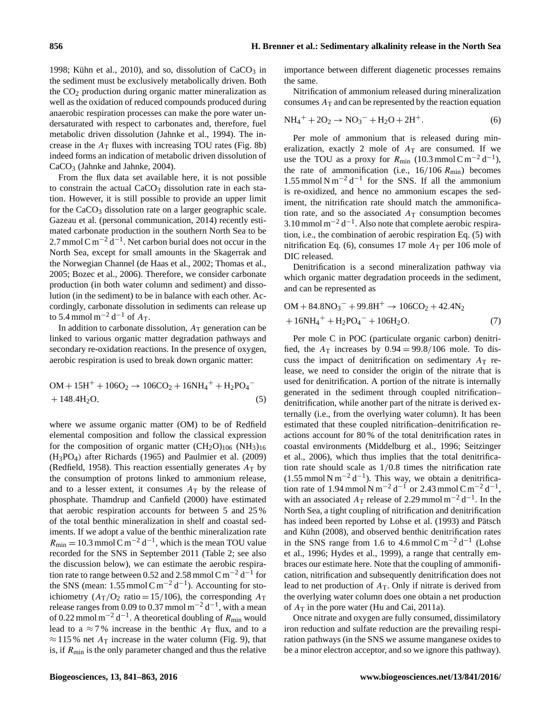[1998;](#page-20-22) [Kühn et al.,](#page-21-10) [2010\)](#page-21-10), and so, dissolution of  $CaCO<sub>3</sub>$  in the sediment must be exclusively metabolically driven. Both the  $CO<sub>2</sub>$  production during organic matter mineralization as well as the oxidation of reduced compounds produced during anaerobic respiration processes can make the pore water undersaturated with respect to carbonates and, therefore, fuel metabolic driven dissolution [\(Jahnke et al.,](#page-20-23) [1994\)](#page-20-23). The increase in the  $A_T$  fluxes with increasing TOU rates (Fig. [8b](#page-11-0)) indeed forms an indication of metabolic driven dissolution of CaCO<sub>3</sub> [\(Jahnke and Jahnke,](#page-20-24) [2004\)](#page-20-24).

From the flux data set available here, it is not possible to constrain the actual  $CaCO<sub>3</sub>$  dissolution rate in each station. However, it is still possible to provide an upper limit for the  $CaCO<sub>3</sub>$  dissolution rate on a larger geographic scale. Gazeau et al. (personal communication, 2014) recently estimated carbonate production in the southern North Sea to be 2.7 mmol C m<sup>-2</sup>  $\text{d}^{-1}$ . Net carbon burial does not occur in the North Sea, except for small amounts in the Skagerrak and the Norwegian Channel [\(de Haas et al.,](#page-20-25) [2002;](#page-20-25) [Thomas et al.,](#page-22-14) [2005;](#page-22-14) [Bozec et al.,](#page-19-1) [2006\)](#page-19-1). Therefore, we consider carbonate production (in both water column and sediment) and dissolution (in the sediment) to be in balance with each other. Accordingly, carbonate dissolution in sediments can release up to 5.4 mmol m<sup>-2</sup> d<sup>-1</sup> of  $A_T$ .

In addition to carbonate dissolution,  $A_T$  generation can be linked to various organic matter degradation pathways and secondary re-oxidation reactions. In the presence of oxygen, aerobic respiration is used to break down organic matter:

$$
OM + 15H^{+} + 106O_{2} \rightarrow 106CO_{2} + 16NH_{4}^{+} + H_{2}PO_{4}^{-} + 148.4H_{2}O,
$$
\n(5)

where we assume organic matter (OM) to be of Redfield elemental composition and follow the classical expression for the composition of organic matter  $(CH_2O)_{106}$  (NH<sub>3</sub>)<sub>16</sub> (H3PO4) after [Richards](#page-22-15) [\(1965\)](#page-22-15) and [Paulmier et al.](#page-21-16) [\(2009\)](#page-21-16) [\(Redfield,](#page-21-15) [1958\)](#page-21-15). This reaction essentially generates  $A_T$  by the consumption of protons linked to ammonium release, and to a lesser extent, it consumes  $A_T$  by the release of phosphate. [Thamdrup and Canfield](#page-22-10) [\(2000\)](#page-22-10) have estimated that aerobic respiration accounts for between 5 and 25 % of the total benthic mineralization in shelf and coastal sediments. If we adopt a value of the benthic mineralization rate  $R_{\text{min}} = 10.3 \text{ mmol C m}^{-2} \text{ d}^{-1}$ , which is the mean TOU value recorded for the SNS in September 2011 (Table [2;](#page-7-0) see also the discussion below), we can estimate the aerobic respiration rate to range between 0.52 and 2.58 mmol C m<sup>-2</sup> d<sup>-1</sup> for the SNS (mean: 1.55 mmol C m<sup>-2</sup> d<sup>-1</sup>). Accounting for stoichiometry ( $A_T/O_2$  ratio = 15/106), the corresponding  $A_T$ release ranges from 0.09 to 0.37 mmol m<sup>-2</sup> d<sup>-1</sup>, with a mean of 0.22 mmol m<sup>-2</sup> d<sup>-1</sup>. A theoretical doubling of  $R_{\text{min}}$  would lead to a  $\approx$  7% increase in the benthic  $A_T$  flux, and to a  $\approx$  115% net  $A_T$  increase in the water column (Fig. [9\)](#page-11-3), that is, if  $R_{\text{min}}$  is the only parameter changed and thus the relative importance between different diagenetic processes remains the same.

<span id="page-15-1"></span>Nitrification of ammonium released during mineralization consumes  $A_T$  and can be represented by the reaction equation

$$
NH_4^+ + 2O_2 \to NO_3^- + H_2O + 2H^+. \tag{6}
$$

Per mole of ammonium that is released during mineralization, exactly 2 mole of  $A_T$  are consumed. If we use the TOU as a proxy for  $R_{\text{min}}$  (10.3 mmol C m<sup>-2</sup> d<sup>-1</sup>), the rate of ammonification (i.e.,  $16/106 R_{min}$ ) becomes 1.55 mmol N m<sup>-2</sup> d<sup>-1</sup> for the SNS. If all the ammonium is re-oxidized, and hence no ammonium escapes the sediment, the nitrification rate should match the ammonification rate, and so the associated  $A_T$  consumption becomes 3.10 mmol m<sup>-2</sup> d<sup>-1</sup>. Also note that complete aerobic respiration, i.e., the combination of aerobic respiration Eq. [\(5\)](#page-15-0) with nitrification Eq. [\(6\)](#page-15-1), consumes 17 mole  $A_T$  per 106 mole of DIC released.

Denitrification is a second mineralization pathway via which organic matter degradation proceeds in the sediment, and can be represented as

$$
OM + 84.8NO3- + 99.8H+ \to 106CO2 + 42.4N2
$$
  
+ 16NH<sub>4</sub><sup>+</sup> + H<sub>2</sub>PO<sub>4</sub><sup>-</sup> + 106H<sub>2</sub>O. (7)

<span id="page-15-0"></span>Per mole C in POC (particulate organic carbon) denitrified, the  $A_T$  increases by  $0.94 = 99.8/106$  mole. To discuss the impact of denitrification on sedimentary  $A_T$  release, we need to consider the origin of the nitrate that is used for denitrification. A portion of the nitrate is internally generated in the sediment through coupled nitrification– denitrification, while another part of the nitrate is derived externally (i.e., from the overlying water column). It has been estimated that these coupled nitrification–denitrification reactions account for 80 % of the total denitrification rates in coastal environments [\(Middelburg et al.,](#page-21-18) [1996;](#page-21-18) [Seitzinger](#page-22-16) [et al.,](#page-22-16) [2006\)](#page-22-16), which thus implies that the total denitrification rate should scale as 1/0.8 times the nitrification rate  $(1.55 \text{ mmol N m}^{-2} \text{d}^{-1})$ . This way, we obtain a denitrification rate of 1.94 mmol N m<sup>-2</sup> d<sup>-1</sup> or 2.43 mmol C m<sup>-2</sup> d<sup>-1</sup>, with an associated  $A_T$  release of 2.29 mmol m<sup>-2</sup> d<sup>-1</sup>. In the North Sea, a tight coupling of nitrification and denitrification has indeed been reported by [Lohse et al.](#page-21-19) [\(1993\)](#page-21-19) and [Pätsch](#page-21-20) [and Kühn](#page-21-20) [\(2008\)](#page-21-20), and observed benthic denitrification rates in the SNS range from 1.6 to 4.6 mmol  $\text{C m}^{-2} \text{d}^{-1}$  [\(Lohse](#page-21-21) [et al.,](#page-21-21) [1996;](#page-21-21) [Hydes et al.,](#page-20-17) [1999\)](#page-20-17), a range that centrally embraces our estimate here. Note that the coupling of ammonification, nitrification and subsequently denitrification does not lead to net production of  $A_T$ . Only if nitrate is derived from the overlying water column does one obtain a net production of  $A_T$  in the pore water [\(Hu and Cai,](#page-20-6) [2011a\)](#page-20-6).

Once nitrate and oxygen are fully consumed, dissimilatory iron reduction and sulfate reduction are the prevailing respiration pathways (in the SNS we assume manganese oxides to be a minor electron acceptor, and so we ignore this pathway).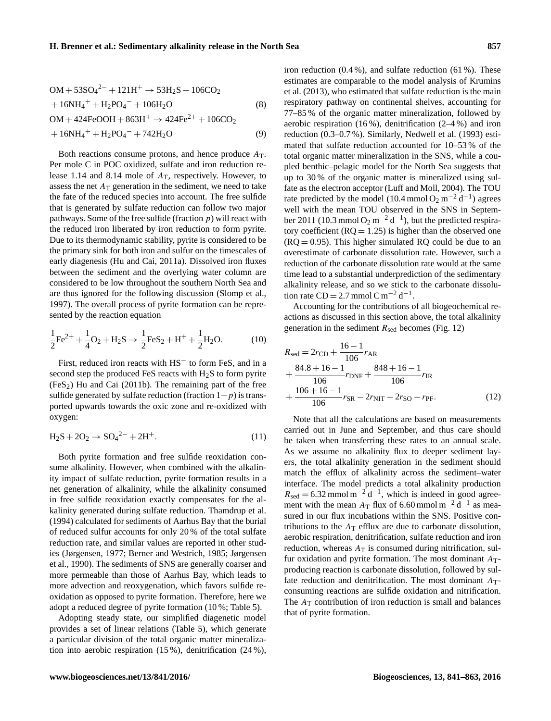$$
OM + 53SO42- + 121H+ \rightarrow 53H2S + 106CO2
$$
  
+ 16NH<sub>4</sub><sup>+</sup> + H<sub>2</sub>PO<sub>4</sub><sup>-</sup> + 106H<sub>2</sub>O (8)  
OM + 424FeOOH + 863H<sup>+</sup> \rightarrow 424Fe<sup>2+</sup> + 106CO<sub>2</sub>  
+ 16NH<sub>4</sub><sup>+</sup> + H<sub>2</sub>PO<sub>4</sub><sup>-</sup> + 742H<sub>2</sub>O (9)

Both reactions consume protons, and hence produce  $A_T$ . Per mole C in POC oxidized, sulfate and iron reduction release 1.14 and 8.14 mole of  $A_T$ , respectively. However, to assess the net  $A_T$  generation in the sediment, we need to take the fate of the reduced species into account. The free sulfide that is generated by sulfate reduction can follow two major pathways. Some of the free sulfide (fraction  $p$ ) will react with the reduced iron liberated by iron reduction to form pyrite. Due to its thermodynamic stability, pyrite is considered to be the primary sink for both iron and sulfur on the timescales of early diagenesis [\(Hu and Cai,](#page-20-6) [2011a\)](#page-20-6). Dissolved iron fluxes between the sediment and the overlying water column are considered to be low throughout the southern North Sea and are thus ignored for the following discussion [\(Slomp et al.,](#page-22-17) [1997\)](#page-22-17). The overall process of pyrite formation can be represented by the reaction equation

$$
\frac{1}{2}\text{Fe}^{2+} + \frac{1}{4}\text{O}_2 + \text{H}_2\text{S} \rightarrow \frac{1}{2}\text{FeS}_2 + \text{H}^+ + \frac{1}{2}\text{H}_2\text{O}.
$$
 (10)

First, reduced iron reacts with HS<sup>−</sup> to form FeS, and in a second step the produced FeS reacts with  $H_2S$  to form pyrite  $(FeS<sub>2</sub>)$  [Hu and Cai](#page-20-26) [\(2011b\)](#page-20-26). The remaining part of the free sulfide generated by sulfate reduction (fraction  $1-p$ ) is transported upwards towards the oxic zone and re-oxidized with oxygen:

$$
H_2S + 2O_2 \to SO_4{}^{2-} + 2H^+.
$$
 (11)

Both pyrite formation and free sulfide reoxidation consume alkalinity. However, when combined with the alkalinity impact of sulfate reduction, pyrite formation results in a net generation of alkalinity, while the alkalinity consumed in free sulfide reoxidation exactly compensates for the alkalinity generated during sulfate reduction. [Thamdrup et al.](#page-22-18) [\(1994\)](#page-22-18) calculated for sediments of Aarhus Bay that the burial of reduced sulfur accounts for only 20 % of the total sulfate reduction rate, and similar values are reported in other studies [\(Jørgensen,](#page-21-22) [1977;](#page-21-22) [Berner and Westrich,](#page-19-8) [1985;](#page-19-8) [Jørgensen](#page-21-23) [et al.,](#page-21-23) [1990\)](#page-21-23). The sediments of SNS are generally coarser and more permeable than those of Aarhus Bay, which leads to more advection and reoxygenation, which favors sulfide reoxidation as opposed to pyrite formation. Therefore, here we adopt a reduced degree of pyrite formation (10 %; Table [5\)](#page-14-0).

Adopting steady state, our simplified diagenetic model provides a set of linear relations (Table [5\)](#page-14-0), which generate a particular division of the total organic matter mineralization into aerobic respiration (15 %), denitrification (24 %), iron reduction (0.4 %), and sulfate reduction (61 %). These estimates are comparable to the model analysis of [Krumins](#page-21-17) [et al.](#page-21-17) [\(2013\)](#page-21-17), who estimated that sulfate reduction is the main respiratory pathway on continental shelves, accounting for 77–85 % of the organic matter mineralization, followed by aerobic respiration (16 %), denitrification (2–4 %) and iron reduction (0.3–0.7 %). Similarly, [Nedwell et al.](#page-21-24) [\(1993\)](#page-21-24) estimated that sulfate reduction accounted for 10–53 % of the total organic matter mineralization in the SNS, while a coupled benthic–pelagic model for the North Sea suggests that up to 30 % of the organic matter is mineralized using sulfate as the electron acceptor [\(Luff and Moll,](#page-21-25) [2004\)](#page-21-25). The TOU rate predicted by the model (10.4 mmol  $O_2$  m<sup>-2</sup> d<sup>-1</sup>) agrees well with the mean TOU observed in the SNS in September 2011 (10.3 mmol O<sub>2</sub> m<sup>-2</sup> d<sup>-1</sup>), but the predicted respiratory coefficient  $(RQ = 1.25)$  is higher than the observed one  $(RQ = 0.95)$ . This higher simulated RQ could be due to an overestimate of carbonate dissolution rate. However, such a reduction of the carbonate dissolution rate would at the same time lead to a substantial underprediction of the sedimentary alkalinity release, and so we stick to the carbonate dissolution rate CD = 2.7 mmol C m<sup>-2</sup> d<sup>-1</sup>.

Accounting for the contributions of all biogeochemical reactions as discussed in this section above, the total alkalinity generation in the sediment  $R_{\text{sed}}$  becomes (Fig. [12\)](#page-17-0)

$$
R_{\text{sed}} = 2r_{\text{CD}} + \frac{16 - 1}{106} r_{\text{AR}}
$$
  
+ 
$$
\frac{84.8 + 16 - 1}{106} r_{\text{DNF}} + \frac{848 + 16 - 1}{106} r_{\text{IR}}
$$
  
+ 
$$
\frac{106 + 16 - 1}{106} r_{\text{SR}} - 2r_{\text{NIT}} - 2r_{\text{SO}} - r_{\text{PF}}.
$$
 (12)

Note that all the calculations are based on measurements carried out in June and September, and thus care should be taken when transferring these rates to an annual scale. As we assume no alkalinity flux to deeper sediment layers, the total alkalinity generation in the sediment should match the efflux of alkalinity across the sediment–water interface. The model predicts a total alkalinity production  $R_{\text{sed}} = 6.32 \text{ mmol m}^{-2} \text{d}^{-1}$ , which is indeed in good agreement with the mean  $A_T$  flux of 6.60 mmol m<sup>-2</sup> d<sup>-1</sup> as measured in our flux incubations within the SNS. Positive contributions to the  $A_T$  efflux are due to carbonate dissolution, aerobic respiration, denitrification, sulfate reduction and iron reduction, whereas  $A_T$  is consumed during nitrification, sulfur oxidation and pyrite formation. The most dominant  $A_T$ producing reaction is carbonate dissolution, followed by sulfate reduction and denitrification. The most dominant  $A_T$ consuming reactions are sulfide oxidation and nitrification. The  $A_T$  contribution of iron reduction is small and balances that of pyrite formation.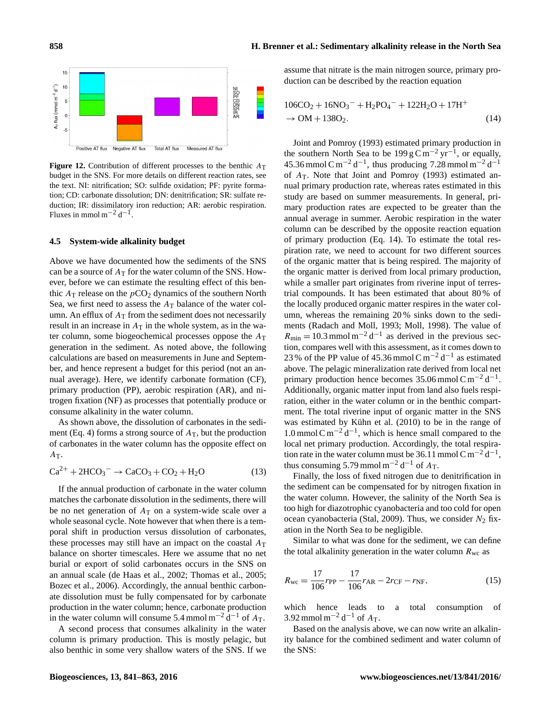<span id="page-17-0"></span>

**Figure 12.** Contribution of different processes to the benthic  $A_T$ budget in the SNS. For more details on different reaction rates, see the text. NI: nitrification; SO: sulfide oxidation; PF: pyrite formation; CD: carbonate dissolution; DN: denitrification; SR: sulfate reduction; IR: dissimilatory iron reduction; AR: aerobic respiration. Fluxes in mmol m<sup>-2</sup> d<sup>-1</sup>.

#### **4.5 System-wide alkalinity budget**

Above we have documented how the sediments of the SNS can be a source of  $A_T$  for the water column of the SNS. However, before we can estimate the resulting effect of this benthic  $A_T$  release on the  $pCO_2$  dynamics of the southern North Sea, we first need to assess the  $A_T$  balance of the water column. An efflux of  $A_T$  from the sediment does not necessarily result in an increase in  $A_T$  in the whole system, as in the water column, some biogeochemical processes oppose the  $A<sub>T</sub>$ generation in the sediment. As noted above, the following calculations are based on measurements in June and September, and hence represent a budget for this period (not an annual average). Here, we identify carbonate formation (CF), primary production (PP), aerobic respiration (AR), and nitrogen fixation (NF) as processes that potentially produce or consume alkalinity in the water column.

As shown above, the dissolution of carbonates in the sedi-ment (Eq. [4\)](#page-13-2) forms a strong source of  $A<sub>T</sub>$ , but the production of carbonates in the water column has the opposite effect on  $A_T$ .

$$
\text{Ca}^{2+} + 2\text{HCO}_3^- \rightarrow \text{CaCO}_3 + \text{CO}_2 + \text{H}_2\text{O}
$$
 (13)

If the annual production of carbonate in the water column matches the carbonate dissolution in the sediments, there will be no net generation of  $A_T$  on a system-wide scale over a whole seasonal cycle. Note however that when there is a temporal shift in production versus dissolution of carbonates, these processes may still have an impact on the coastal  $A_T$ balance on shorter timescales. Here we assume that no net burial or export of solid carbonates occurs in the SNS on an annual scale [\(de Haas et al.,](#page-20-25) [2002;](#page-20-25) [Thomas et al.,](#page-22-14) [2005;](#page-22-14) [Bozec et al.,](#page-19-1) [2006\)](#page-19-1). Accordingly, the annual benthic carbonate dissolution must be fully compensated for by carbonate production in the water column; hence, carbonate production in the water column will consume 5.4 mmol m<sup>-2</sup>  $\hat{d}^{-1}$  of  $A_T$ .

A second process that consumes alkalinity in the water column is primary production. This is mostly pelagic, but also benthic in some very shallow waters of the SNS. If we assume that nitrate is the main nitrogen source, primary production can be described by the reaction equation

<span id="page-17-1"></span>
$$
106CO2 + 16NO3- + H2PO4- + 122H2O + 17H+\n\rightarrow OM + 138O2.
$$
\n(14)

[Joint and Pomroy](#page-21-11) [\(1993\)](#page-21-11) estimated primary production in the southern North Sea to be 199 g C m<sup>-2</sup> yr<sup>-1</sup>, or equally, 45.36 mmol C m<sup>-2</sup> d<sup>-1</sup>, thus producing 7.28 mmol m<sup>-2</sup> d<sup>-1</sup> of  $A_T$ . Note that [Joint and Pomroy](#page-21-11) [\(1993\)](#page-21-11) estimated annual primary production rate, whereas rates estimated in this study are based on summer measurements. In general, primary production rates are expected to be greater than the annual average in summer. Aerobic respiration in the water column can be described by the opposite reaction equation of primary production (Eq. [14\)](#page-17-1). To estimate the total respiration rate, we need to account for two different sources of the organic matter that is being respired. The majority of the organic matter is derived from local primary production, while a smaller part originates from riverine input of terrestrial compounds. It has been estimated that about 80 % of the locally produced organic matter respires in the water column, whereas the remaining 20 % sinks down to the sediments [\(Radach and Moll,](#page-21-26) [1993;](#page-21-26) [Moll,](#page-21-12) [1998\)](#page-21-12). The value of  $R_{\text{min}} = 10.3 \text{ mmol m}^{-2} \text{ d}^{-1}$  as derived in the previous section, compares well with this assessment, as it comes down to 23 % of the PP value of 45.36 mmol C m<sup>-2</sup> d<sup>-1</sup> as estimated above. The pelagic mineralization rate derived from local net primary production hence becomes 35.06 mmol C m<sup>-2</sup> d<sup>-1</sup>. Additionally, organic matter input from land also fuels respiration, either in the water column or in the benthic compartment. The total riverine input of organic matter in the SNS was estimated by [Kühn et al.](#page-21-10) [\(2010\)](#page-21-10) to be in the range of 1.0 mmol C m<sup>-2</sup> d<sup>-1</sup>, which is hence small compared to the local net primary production. Accordingly, the total respiration rate in the water column must be 36.11 mmol C m<sup>-2</sup> d<sup>-1</sup>, thus consuming 5.79 mmol m<sup>-2</sup> d<sup>-1</sup> of  $A_T$ .

Finally, the loss of fixed nitrogen due to denitrification in the sediment can be compensated for by nitrogen fixation in the water column. However, the salinity of the North Sea is too high for diazotrophic cyanobacteria and too cold for open ocean cyanobacteria [\(Stal,](#page-22-19) [2009\)](#page-22-19). Thus, we consider  $N_2$  fixation in the North Sea to be negligible.

Similar to what was done for the sediment, we can define the total alkalinity generation in the water column  $R_{\rm wc}$  as

$$
R_{\rm wc} = \frac{17}{106} r_{\rm PP} - \frac{17}{106} r_{\rm AR} - 2r_{\rm CF} - r_{\rm NF},\tag{15}
$$

which hence leads to a total consumption of 3.92 mmol m<sup>-2</sup> d<sup>-1</sup> of  $A_T$ .

Based on the analysis above, we can now write an alkalinity balance for the combined sediment and water column of the SNS: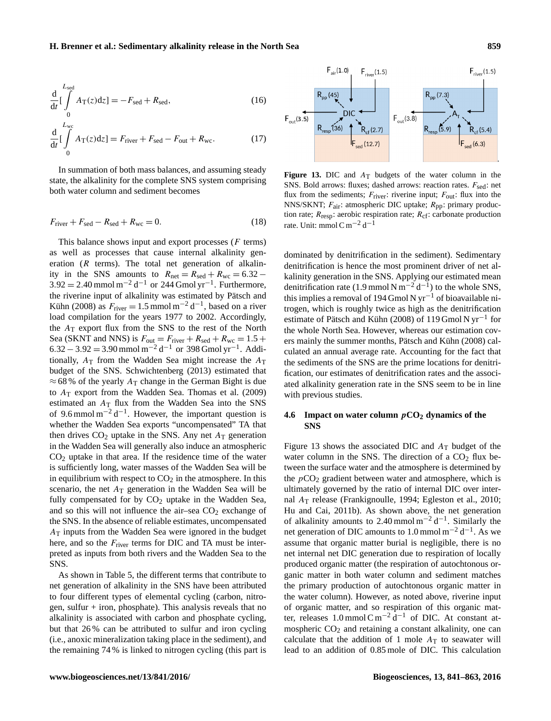$$
\frac{\mathrm{d}}{\mathrm{d}t} \left[ \int\limits_{0}^{L_{\text{sed}}} A_{\text{T}}(z) \mathrm{d}z \right] = -F_{\text{sed}} + R_{\text{sed}},\tag{16}
$$

$$
\frac{d}{dt} \left[ \int_{0}^{L_{\text{wc}}} A_{\text{T}}(z) dz \right] = F_{\text{river}} + F_{\text{sed}} - F_{\text{out}} + R_{\text{wc}}.
$$
 (17)

In summation of both mass balances, and assuming steady state, the alkalinity for the complete SNS system comprising both water column and sediment becomes

$$
F_{\text{river}} + F_{\text{sed}} - R_{\text{sed}} + R_{\text{wc}} = 0. \tag{18}
$$

This balance shows input and export processes  $(F \text{ terms})$ as well as processes that cause internal alkalinity generation  $(R$  terms). The total net generation of alkalinity in the SNS amounts to  $R_{\text{net}} = R_{\text{sed}} + R_{\text{wc}} = 6.32 3.92 = 2.40$  mmol m<sup>-2</sup> d<sup>-1</sup> or 244 Gmol yr<sup>-1</sup>. Furthermore, the riverine input of alkalinity was estimated by [Pätsch and](#page-21-20) [Kühn](#page-21-20) [\(2008\)](#page-21-20) as  $F_{\text{river}} = 1.5 \text{ mmol m}^{-2} \text{d}^{-1}$ , based on a river load compilation for the years 1977 to 2002. Accordingly, the  $A_T$  export flux from the SNS to the rest of the North Sea (SKNT and NNS) is  $F_{\text{out}} = F_{\text{river}} + R_{\text{sed}} + R_{\text{wc}} = 1.5 +$  $6.32 - 3.92 = 3.90$  mmol m<sup>-2</sup> d<sup>-1</sup> or 398 Gmol yr<sup>-1</sup>. Additionally,  $A_T$  from the Wadden Sea might increase the  $A_T$ budget of the SNS. [Schwichtenberg](#page-22-20) [\(2013\)](#page-22-20) estimated that  $\approx$  68 % of the yearly  $A_T$  change in the German Bight is due to  $A_T$  export from the Wadden Sea. [Thomas et al.](#page-22-1) [\(2009\)](#page-22-1) estimated an  $A_T$  flux from the Wadden Sea into the SNS of 9.6 mmol  $m^{-2} d^{-1}$ . However, the important question is whether the Wadden Sea exports "uncompensated" TA that then drives  $CO<sub>2</sub>$  uptake in the SNS. Any net  $A<sub>T</sub>$  generation in the Wadden Sea will generally also induce an atmospheric CO<sup>2</sup> uptake in that area. If the residence time of the water is sufficiently long, water masses of the Wadden Sea will be in equilibrium with respect to  $CO<sub>2</sub>$  in the atmosphere. In this scenario, the net  $A_T$  generation in the Wadden Sea will be fully compensated for by  $CO<sub>2</sub>$  uptake in the Wadden Sea, and so this will not influence the air–sea  $CO<sub>2</sub>$  exchange of the SNS. In the absence of reliable estimates, uncompensated  $A<sub>T</sub>$  inputs from the Wadden Sea were ignored in the budget here, and so the  $F<sub>river</sub>$  terms for DIC and TA must be interpreted as inputs from both rivers and the Wadden Sea to the SNS.

As shown in Table [5,](#page-14-0) the different terms that contribute to net generation of alkalinity in the SNS have been attributed to four different types of elemental cycling (carbon, nitrogen, sulfur  $+$  iron, phosphate). This analysis reveals that no alkalinity is associated with carbon and phosphate cycling, but that 26 % can be attributed to sulfur and iron cycling (i.e., anoxic mineralization taking place in the sediment), and the remaining 74 % is linked to nitrogen cycling (this part is

<span id="page-18-0"></span>

**Figure 13.** DIC and  $A_T$  budgets of the water column in the SNS. Bold arrows: fluxes; dashed arrows: reaction rates.  $F_{\text{sed}}$ : net flux from the sediments;  $F_{\text{river}}$ : riverine input;  $F_{\text{out}}$ : flux into the NNS/SKNT;  $F_{\text{air}}$ : atmospheric DIC uptake;  $R_{\text{pp}}$ : primary production rate;  $R_{resp}$ : aerobic respiration rate;  $R_{cf}$ : carbonate production rate. Unit: mmol C m<sup>-2</sup> d<sup>-1</sup>

dominated by denitrification in the sediment). Sedimentary denitrification is hence the most prominent driver of net alkalinity generation in the SNS. Applying our estimated mean denitrification rate (1.9 mmol N m<sup>-2</sup> d<sup>-1</sup>) to the whole SNS, this implies a removal of 194 Gmol N yr<sup>-1</sup> of bioavailable nitrogen, which is roughly twice as high as the denitrification estimate of [Pätsch and Kühn](#page-21-20) [\(2008\)](#page-21-20) of 119 Gmol N yr−<sup>1</sup> for the whole North Sea. However, whereas our estimation covers mainly the summer months, [Pätsch and Kühn](#page-21-20) [\(2008\)](#page-21-20) calculated an annual average rate. Accounting for the fact that the sediments of the SNS are the prime locations for denitrification, our estimates of denitrification rates and the associated alkalinity generation rate in the SNS seem to be in line with previous studies.

# **4.6 Impact on water column** p**CO<sup>2</sup> dynamics of the SNS**

Figure [13](#page-18-0) shows the associated DIC and  $A_T$  budget of the water column in the SNS. The direction of a  $CO<sub>2</sub>$  flux between the surface water and the atmosphere is determined by the  $pCO<sub>2</sub>$  gradient between water and atmosphere, which is ultimately governed by the ratio of internal DIC over internal A<sup>T</sup> release [\(Frankignoulle,](#page-20-27) [1994;](#page-20-27) [Egleston et al.,](#page-20-28) [2010;](#page-20-28) [Hu and Cai,](#page-20-26) [2011b\)](#page-20-26). As shown above, the net generation of alkalinity amounts to 2.40 mmol  $m^{-2} d^{-1}$ . Similarly the net generation of DIC amounts to 1.0 mmol m<sup>-2</sup> d<sup>-1</sup>. As we assume that organic matter burial is negligible, there is no net internal net DIC generation due to respiration of locally produced organic matter (the respiration of autochtonous organic matter in both water column and sediment matches the primary production of autochtonous organic matter in the water column). However, as noted above, riverine input of organic matter, and so respiration of this organic matter, releases 1.0 mmol C m<sup>-2</sup>  $\frac{d}{dt}$  of DIC. At constant atmospheric  $CO<sub>2</sub>$  and retaining a constant alkalinity, one can calculate that the addition of 1 mole  $A_T$  to seawater will lead to an addition of 0.85 mole of DIC. This calculation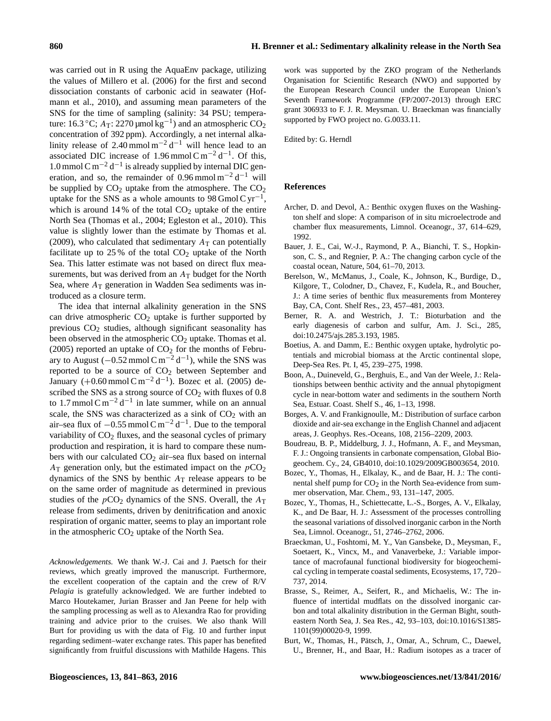was carried out in R using the AquaEnv package, utilizing the values of [Millero et al.](#page-21-27) [\(2006\)](#page-21-27) for the first and second dissociation constants of carbonic acid in seawater [\(Hof](#page-20-29)[mann et al.,](#page-20-29) [2010\)](#page-20-29), and assuming mean parameters of the SNS for the time of sampling (salinity: 34 PSU; temperature: 16.3 °C;  $A_T$ : 2270 µmol kg<sup>-1</sup>) and an atmospheric CO<sub>2</sub> concentration of 392 ppm). Accordingly, a net internal alkalinity release of 2.40 mmol  $m^{-2} d^{-1}$  will hence lead to an associated DIC increase of 1.96 mmol C m<sup>-2</sup> d<sup>-1</sup>. Of this, 1.0 mmol C m<sup>-2</sup> d<sup>-1</sup> is already supplied by internal DIC generation, and so, the remainder of 0.96 mmol  $m^{-2} d^{-1}$  will be supplied by  $CO<sub>2</sub>$  uptake from the atmosphere. The  $CO<sub>2</sub>$ uptake for the SNS as a whole amounts to 98 Gmol C  $yr^{-1}$ , which is around  $14\%$  of the total  $CO<sub>2</sub>$  uptake of the entire North Sea [\(Thomas et al.,](#page-22-21) [2004;](#page-22-21) [Egleston et al.,](#page-20-28) [2010\)](#page-20-28). This value is slightly lower than the estimate by [Thomas et al.](#page-22-1) [\(2009\)](#page-22-1), who calculated that sedimentary  $A_T$  can potentially facilitate up to  $25\%$  of the total  $CO<sub>2</sub>$  uptake of the North Sea. This latter estimate was not based on direct flux measurements, but was derived from an  $A_T$  budget for the North Sea, where  $A_T$  generation in Wadden Sea sediments was introduced as a closure term.

The idea that internal alkalinity generation in the SNS can drive atmospheric  $CO<sub>2</sub>$  uptake is further supported by previous  $CO<sub>2</sub>$  studies, although significant seasonality has been observed in the atmospheric  $CO<sub>2</sub>$  uptake. [Thomas et al.](#page-22-14) [\(2005\)](#page-22-14) reported an uptake of  $CO<sub>2</sub>$  for the months of February to August ( $-0.52$  mmol C m<sup>-2</sup> d<sup>-1</sup>), while the SNS was reported to be a source of CO<sup>2</sup> between September and January  $(+0.60 \text{ mmol C m}^{-2} d^{-1})$ . [Bozec et al.](#page-19-9) [\(2005\)](#page-19-9) described the SNS as a strong source of  $CO<sub>2</sub>$  with fluxes of 0.8 to 1.7 mmol  $\text{C m}^{-2} \text{d}^{-1}$  in late summer, while on an annual scale, the SNS was characterized as a sink of  $CO<sub>2</sub>$  with an air–sea flux of  $-0.55$  mmol C m<sup>-2</sup> d<sup>-1</sup>. Due to the temporal variability of  $CO<sub>2</sub>$  fluxes, and the seasonal cycles of primary production and respiration, it is hard to compare these numbers with our calculated  $CO<sub>2</sub>$  air–sea flux based on internal  $A_T$  generation only, but the estimated impact on the  $pCO_2$ dynamics of the SNS by benthic  $A_T$  release appears to be on the same order of magnitude as determined in previous studies of the  $pCO<sub>2</sub>$  dynamics of the SNS. Overall, the  $A<sub>T</sub>$ release from sediments, driven by denitrification and anoxic respiration of organic matter, seems to play an important role in the atmospheric  $CO<sub>2</sub>$  uptake of the North Sea.

*Acknowledgements.* We thank W.-J. Cai and J. Paetsch for their reviews, which greatly improved the manuscript. Furthermore, the excellent cooperation of the captain and the crew of R/V *Pelagia* is gratefully acknowledged. We are further indebted to Marco Houtekamer, Jurian Brasser and Jan Peene for help with the sampling processing as well as to Alexandra Rao for providing training and advice prior to the cruises. We also thank Will Burt for providing us with the data of Fig. [10](#page-12-0) and further input regarding sediment–water exchange rates. This paper has benefited significantly from fruitful discussions with Mathilde Hagens. This

work was supported by the ZKO program of the Netherlands Organisation for Scientific Research (NWO) and supported by the European Research Council under the European Union's Seventh Framework Programme (FP/2007-2013) through ERC grant 306933 to F. J. R. Meysman. U. Braeckman was financially supported by FWO project no. G.0033.11.

Edited by: G. Herndl

# **References**

- <span id="page-19-5"></span>Archer, D. and Devol, A.: Benthic oxygen fluxes on the Washington shelf and slope: A comparison of in situ microelectrode and chamber flux measurements, Limnol. Oceanogr., 37, 614–629, 1992.
- <span id="page-19-0"></span>Bauer, J. E., Cai, W.-J., Raymond, P. A., Bianchi, T. S., Hopkinson, C. S., and Regnier, P. A.: The changing carbon cycle of the coastal ocean, Nature, 504, 61–70, 2013.
- Berelson, W., McManus, J., Coale, K., Johnson, K., Burdige, D., Kilgore, T., Colodner, D., Chavez, F., Kudela, R., and Boucher, J.: A time series of benthic flux measurements from Monterey Bay, CA, Cont. Shelf Res., 23, 457–481, 2003.
- <span id="page-19-8"></span>Berner, R. A. and Westrich, J. T.: Bioturbation and the early diagenesis of carbon and sulfur, Am. J. Sci., 285, doi[:10.2475/ajs.285.3.193,](http://dx.doi.org/10.2475/ajs.285.3.193) 1985.
- Boetius, A. and Damm, E.: Benthic oxygen uptake, hydrolytic potentials and microbial biomass at the Arctic continental slope, Deep-Sea Res. Pt. I, 45, 239–275, 1998.
- Boon, A., Duineveld, G., Berghuis, E., and Van der Weele, J.: Relationships between benthic activity and the annual phytopigment cycle in near-bottom water and sediments in the southern North Sea, Estuar. Coast. Shelf S., 46, 1–13, 1998.
- <span id="page-19-2"></span>Borges, A. V. and Frankignoulle, M.: Distribution of surface carbon dioxide and air-sea exchange in the English Channel and adjacent areas, J. Geophys. Res.-Oceans, 108, 2156–2209, 2003.
- <span id="page-19-7"></span>Boudreau, B. P., Middelburg, J. J., Hofmann, A. F., and Meysman, F. J.: Ongoing transients in carbonate compensation, Global Biogeochem. Cy., 24, GB4010, doi[:10.1029/2009GB003654,](http://dx.doi.org/10.1029/2009GB003654) 2010.
- <span id="page-19-9"></span>Bozec, Y., Thomas, H., Elkalay, K., and de Baar, H. J.: The continental shelf pump for  $CO<sub>2</sub>$  in the North Sea-evidence from summer observation, Mar. Chem., 93, 131–147, 2005.
- <span id="page-19-1"></span>Bozec, Y., Thomas, H., Schiettecatte, L.-S., Borges, A. V., Elkalay, K., and De Baar, H. J.: Assessment of the processes controlling the seasonal variations of dissolved inorganic carbon in the North Sea, Limnol. Oceanogr., 51, 2746–2762, 2006.
- <span id="page-19-4"></span>Braeckman, U., Foshtomi, M. Y., Van Gansbeke, D., Meysman, F., Soetaert, K., Vincx, M., and Vanaverbeke, J.: Variable importance of macrofaunal functional biodiversity for biogeochemical cycling in temperate coastal sediments, Ecosystems, 17, 720– 737, 2014.
- <span id="page-19-3"></span>Brasse, S., Reimer, A., Seifert, R., and Michaelis, W.: The influence of intertidal mudflats on the dissolved inorganic carbon and total alkalinity distribution in the German Bight, southeastern North Sea, J. Sea Res., 42, 93–103, doi[:10.1016/S1385-](http://dx.doi.org/10.1016/S1385-1101(99)00020-9) [1101\(99\)00020-9,](http://dx.doi.org/10.1016/S1385-1101(99)00020-9) 1999.
- <span id="page-19-6"></span>Burt, W., Thomas, H., Pätsch, J., Omar, A., Schrum, C., Daewel, U., Brenner, H., and Baar, H.: Radium isotopes as a tracer of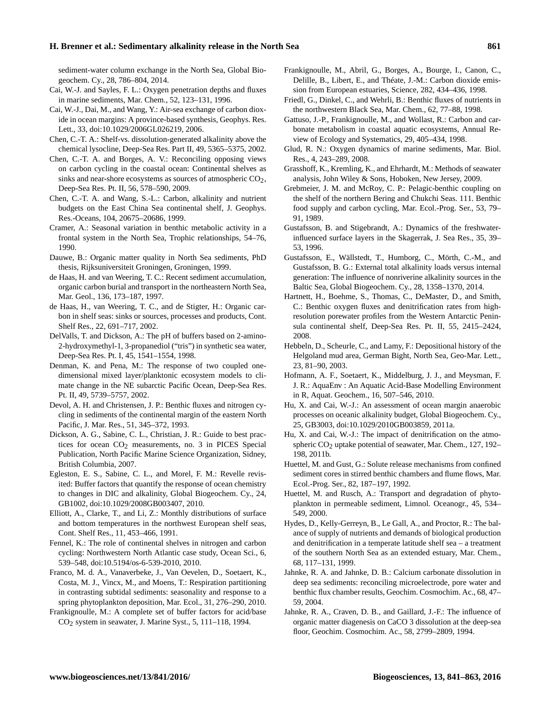sediment-water column exchange in the North Sea, Global Biogeochem. Cy., 28, 786–804, 2014.

- <span id="page-20-18"></span>Cai, W.-J. and Sayles, F. L.: Oxygen penetration depths and fluxes in marine sediments, Mar. Chem., 52, 123–131, 1996.
- <span id="page-20-1"></span>Cai, W.-J., Dai, M., and Wang, Y.: Air-sea exchange of carbon dioxide in ocean margins: A province-based synthesis, Geophys. Res. Lett., 33, doi[:10.1029/2006GL026219,](http://dx.doi.org/10.1029/2006GL026219) 2006.
- <span id="page-20-4"></span>Chen, C.-T. A.: Shelf-vs. dissolution-generated alkalinity above the chemical lysocline, Deep-Sea Res. Part II, 49, 5365–5375, 2002.
- <span id="page-20-2"></span>Chen, C.-T. A. and Borges, A. V.: Reconciling opposing views on carbon cycling in the coastal ocean: Continental shelves as sinks and near-shore ecosystems as sources of atmospheric CO<sub>2</sub>, Deep-Sea Res. Pt. II, 56, 578–590, 2009.
- <span id="page-20-3"></span>Chen, C.-T. A. and Wang, S.-L.: Carbon, alkalinity and nutrient budgets on the East China Sea continental shelf, J. Geophys. Res.-Oceans, 104, 20675–20686, 1999.
- Cramer, A.: Seasonal variation in benthic metabolic activity in a frontal system in the North Sea, Trophic relationships, 54–76, 1990.
- <span id="page-20-10"></span>Dauwe, B.: Organic matter quality in North Sea sediments, PhD thesis, Rijksuniversiteit Groningen, Groningen, 1999.
- <span id="page-20-8"></span>de Haas, H. and van Weering, T. C.: Recent sediment accumulation, organic carbon burial and transport in the northeastern North Sea, Mar. Geol., 136, 173–187, 1997.
- <span id="page-20-25"></span>de Haas, H., van Weering, T. C., and de Stigter, H.: Organic carbon in shelf seas: sinks or sources, processes and products, Cont. Shelf Res., 22, 691–717, 2002.
- <span id="page-20-16"></span>DelValls, T. and Dickson, A.: The pH of buffers based on 2-amino-2-hydroxymethyl-1, 3-propanediol ("tris") in synthetic sea water, Deep-Sea Res. Pt. I, 45, 1541–1554, 1998.
- <span id="page-20-19"></span>Denman, K. and Pena, M.: The response of two coupled onedimensional mixed layer/planktonic ecosystem models to climate change in the NE subarctic Pacific Ocean, Deep-Sea Res. Pt. II, 49, 5739–5757, 2002.
- Devol, A. H. and Christensen, J. P.: Benthic fluxes and nitrogen cycling in sediments of the continental margin of the eastern North Pacific, J. Mar. Res., 51, 345–372, 1993.
- <span id="page-20-15"></span>Dickson, A. G., Sabine, C. L., Christian, J. R.: Guide to best practices for ocean  $CO<sub>2</sub>$  measurements, no. 3 in PICES Special Publication, North Pacific Marine Science Organization, Sidney, British Columbia, 2007.
- <span id="page-20-28"></span>Egleston, E. S., Sabine, C. L., and Morel, F. M.: Revelle revisited: Buffer factors that quantify the response of ocean chemistry to changes in DIC and alkalinity, Global Biogeochem. Cy., 24, GB1002, doi[:10.1029/2008GB003407,](http://dx.doi.org/10.1029/2008GB003407) 2010.
- <span id="page-20-7"></span>Elliott, A., Clarke, T., and Li, Z.: Monthly distributions of surface and bottom temperatures in the northwest European shelf seas, Cont. Shelf Res., 11, 453–466, 1991.
- <span id="page-20-5"></span>Fennel, K.: The role of continental shelves in nitrogen and carbon cycling: Northwestern North Atlantic case study, Ocean Sci., 6, 539–548, doi[:10.5194/os-6-539-2010,](http://dx.doi.org/10.5194/os-6-539-2010) 2010.
- Franco, M. d. A., Vanaverbeke, J., Van Oevelen, D., Soetaert, K., Costa, M. J., Vincx, M., and Moens, T.: Respiration partitioning in contrasting subtidal sediments: seasonality and response to a spring phytoplankton deposition, Mar. Ecol., 31, 276–290, 2010.
- <span id="page-20-27"></span>Frankignoulle, M.: A complete set of buffer factors for acid/base  $CO<sub>2</sub>$  system in seawater, J. Marine Syst., 5, 111–118, 1994.
- <span id="page-20-22"></span>Frankignoulle, M., Abril, G., Borges, A., Bourge, I., Canon, C., Delille, B., Libert, E., and Théate, J.-M.: Carbon dioxide emission from European estuaries, Science, 282, 434–436, 1998.
- Friedl, G., Dinkel, C., and Wehrli, B.: Benthic fluxes of nutrients in the northwestern Black Sea, Mar. Chem., 62, 77–88, 1998.
- <span id="page-20-0"></span>Gattuso, J.-P., Frankignoulle, M., and Wollast, R.: Carbon and carbonate metabolism in coastal aquatic ecosystems, Annual Review of Ecology and Systematics, 29, 405–434, 1998.
- <span id="page-20-14"></span>Glud, R. N.: Oxygen dynamics of marine sediments, Mar. Biol. Res., 4, 243–289, 2008.
- <span id="page-20-13"></span>Grasshoff, K., Kremling, K., and Ehrhardt, M.: Methods of seawater analysis, John Wiley & Sons, Hoboken, New Jersey, 2009.
- Grebmeier, J. M. and McRoy, C. P.: Pelagic-benthic coupling on the shelf of the northern Bering and Chukchi Seas. 111. Benthic food supply and carbon cycling, Mar. Ecol.-Prog. Ser., 53, 79– 91, 1989.
- <span id="page-20-9"></span>Gustafsson, B. and Stigebrandt, A.: Dynamics of the freshwaterinfluenced surface layers in the Skagerrak, J. Sea Res., 35, 39– 53, 1996.
- <span id="page-20-21"></span>Gustafsson, E., Wällstedt, T., Humborg, C., Mörth, C.-M., and Gustafsson, B. G.: External total alkalinity loads versus internal generation: The influence of nonriverine alkalinity sources in the Baltic Sea, Global Biogeochem. Cy., 28, 1358–1370, 2014.
- Hartnett, H., Boehme, S., Thomas, C., DeMaster, D., and Smith, C.: Benthic oxygen fluxes and denitrification rates from highresolution porewater profiles from the Western Antarctic Peninsula continental shelf, Deep-Sea Res. Pt. II, 55, 2415–2424, 2008.
- <span id="page-20-11"></span>Hebbeln, D., Scheurle, C., and Lamy, F.: Depositional history of the Helgoland mud area, German Bight, North Sea, Geo-Mar. Lett., 23, 81–90, 2003.
- <span id="page-20-29"></span>Hofmann, A. F., Soetaert, K., Middelburg, J. J., and Meysman, F. J. R.: AquaEnv : An Aquatic Acid-Base Modelling Environment in R, Aquat. Geochem., 16, 507–546, 2010.
- <span id="page-20-6"></span>Hu, X. and Cai, W.-J.: An assessment of ocean margin anaerobic processes on oceanic alkalinity budget, Global Biogeochem. Cy., 25, GB3003, doi[:10.1029/2010GB003859,](http://dx.doi.org/10.1029/2010GB003859) 2011a.
- <span id="page-20-26"></span>Hu, X. and Cai, W.-J.: The impact of denitrification on the atmospheric  $CO<sub>2</sub>$  uptake potential of seawater, Mar. Chem., 127, 192– 198, 2011b.
- <span id="page-20-12"></span>Huettel, M. and Gust, G.: Solute release mechanisms from confined sediment cores in stirred benthic chambers and flume flows, Mar. Ecol.-Prog. Ser., 82, 187–197, 1992.
- <span id="page-20-20"></span>Huettel, M. and Rusch, A.: Transport and degradation of phytoplankton in permeable sediment, Limnol. Oceanogr., 45, 534– 549, 2000.
- <span id="page-20-17"></span>Hydes, D., Kelly-Gerreyn, B., Le Gall, A., and Proctor, R.: The balance of supply of nutrients and demands of biological production and denitrification in a temperate latitude shelf sea – a treatment of the southern North Sea as an extended estuary, Mar. Chem., 68, 117–131, 1999.
- <span id="page-20-24"></span>Jahnke, R. A. and Jahnke, D. B.: Calcium carbonate dissolution in deep sea sediments: reconciling microelectrode, pore water and benthic flux chamber results, Geochim. Cosmochim. Ac., 68, 47– 59, 2004.
- <span id="page-20-23"></span>Jahnke, R. A., Craven, D. B., and Gaillard, J.-F.: The influence of organic matter diagenesis on CaCO 3 dissolution at the deep-sea floor, Geochim. Cosmochim. Ac., 58, 2799–2809, 1994.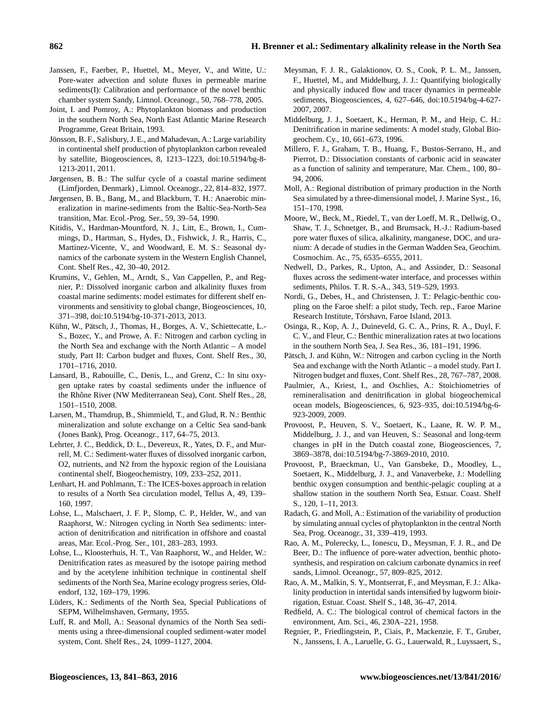- <span id="page-21-8"></span>Janssen, F., Faerber, P., Huettel, M., Meyer, V., and Witte, U.: Pore-water advection and solute fluxes in permeable marine sediments(I): Calibration and performance of the novel benthic chamber system Sandy, Limnol. Oceanogr., 50, 768–778, 2005.
- <span id="page-21-11"></span>Joint, I. and Pomroy, A.: Phytoplankton biomass and production in the southern North Sea, North East Atlantic Marine Research Programme, Great Britain, 1993.
- <span id="page-21-1"></span>Jönsson, B. F., Salisbury, J. E., and Mahadevan, A.: Large variability in continental shelf production of phytoplankton carbon revealed by satellite, Biogeosciences, 8, 1213–1223, doi[:10.5194/bg-8-](http://dx.doi.org/10.5194/bg-8-1213-2011) [1213-2011,](http://dx.doi.org/10.5194/bg-8-1213-2011) 2011.
- <span id="page-21-22"></span>Jørgensen, B. B.: The sulfur cycle of a coastal marine sediment (Limfjorden, Denmark) , Limnol. Oceanogr., 22, 814–832, 1977.
- <span id="page-21-23"></span>Jørgensen, B. B., Bang, M., and Blackburn, T. H.: Anaerobic mineralization in marine-sediments from the Baltic-Sea-North-Sea transition, Mar. Ecol.-Prog. Ser., 59, 39–54, 1990.
- <span id="page-21-2"></span>Kitidis, V., Hardman-Mountford, N. J., Litt, E., Brown, I., Cummings, D., Hartman, S., Hydes, D., Fishwick, J. R., Harris, C., Martinez-Vicente, V., and Woodward, E. M. S.: Seasonal dynamics of the carbonate system in the Western English Channel, Cont. Shelf Res., 42, 30–40, 2012.
- <span id="page-21-17"></span>Krumins, V., Gehlen, M., Arndt, S., Van Cappellen, P., and Regnier, P.: Dissolved inorganic carbon and alkalinity fluxes from coastal marine sediments: model estimates for different shelf environments and sensitivity to global change, Biogeosciences, 10, 371–398, doi[:10.5194/bg-10-371-2013,](http://dx.doi.org/10.5194/bg-10-371-2013) 2013.
- <span id="page-21-10"></span>Kühn, W., Pätsch, J., Thomas, H., Borges, A. V., Schiettecatte, L.- S., Bozec, Y., and Prowe, A. F.: Nitrogen and carbon cycling in the North Sea and exchange with the North Atlantic – A model study, Part II: Carbon budget and fluxes, Cont. Shelf Res., 30, 1701–1716, 2010.
- Lansard, B., Rabouille, C., Denis, L., and Grenz, C.: In situ oxygen uptake rates by coastal sediments under the influence of the Rhône River (NW Mediterranean Sea), Cont. Shelf Res., 28, 1501–1510, 2008.
- Larsen, M., Thamdrup, B., Shimmield, T., and Glud, R. N.: Benthic mineralization and solute exchange on a Celtic Sea sand-bank (Jones Bank), Prog. Oceanogr., 117, 64–75, 2013.
- <span id="page-21-7"></span>Lehrter, J. C., Beddick, D. L., Devereux, R., Yates, D. F., and Murrell, M. C.: Sediment-water fluxes of dissolved inorganic carbon, O2, nutrients, and N2 from the hypoxic region of the Louisiana continental shelf, Biogeochemistry, 109, 233–252, 2011.
- <span id="page-21-5"></span>Lenhart, H. and Pohlmann, T.: The ICES-boxes approach in relation to results of a North Sea circulation model, Tellus A, 49, 139– 160, 1997.
- <span id="page-21-19"></span>Lohse, L., Malschaert, J. F. P., Slomp, C. P., Helder, W., and van Raaphorst, W.: Nitrogen cycling in North Sea sediments: interaction of denitrification and nitrification in offshore and coastal areas, Mar. Ecol.-Prog. Ser., 101, 283–283, 1993.
- <span id="page-21-21"></span>Lohse, L., Kloosterhuis, H. T., Van Raaphorst, W., and Helder, W.: Denitrification rates as measured by the isotope pairing method and by the acetylene inhibition technique in continental shelf sediments of the North Sea, Marine ecology progress series, Oldendorf, 132, 169–179, 1996.
- <span id="page-21-6"></span>Lüders, K.: Sediments of the North Sea, Special Publications of SEPM, Wilhelmshaven, Germany, 1955.
- <span id="page-21-25"></span>Luff, R. and Moll, A.: Seasonal dynamics of the North Sea sediments using a three-dimensional coupled sediment-water model system, Cont. Shelf Res., 24, 1099–1127, 2004.
- <span id="page-21-14"></span>Meysman, F. J. R., Galaktionov, O. S., Cook, P. L. M., Janssen, F., Huettel, M., and Middelburg, J. J.: Quantifying biologically and physically induced flow and tracer dynamics in permeable sediments, Biogeosciences, 4, 627–646, doi[:10.5194/bg-4-627-](http://dx.doi.org/10.5194/bg-4-627-2007) [2007,](http://dx.doi.org/10.5194/bg-4-627-2007) 2007.
- <span id="page-21-18"></span>Middelburg, J. J., Soetaert, K., Herman, P. M., and Heip, C. H.: Denitrification in marine sediments: A model study, Global Biogeochem. Cy., 10, 661–673, 1996.
- <span id="page-21-27"></span>Millero, F. J., Graham, T. B., Huang, F., Bustos-Serrano, H., and Pierrot, D.: Dissociation constants of carbonic acid in seawater as a function of salinity and temperature, Mar. Chem., 100, 80– 94, 2006.
- <span id="page-21-12"></span>Moll, A.: Regional distribution of primary production in the North Sea simulated by a three-dimensional model, J. Marine Syst., 16, 151–170, 1998.
- <span id="page-21-3"></span>Moore, W., Beck, M., Riedel, T., van der Loeff, M. R., Dellwig, O., Shaw, T. J., Schnetger, B., and Brumsack, H.-J.: Radium-based pore water fluxes of silica, alkalinity, manganese, DOC, and uranium: A decade of studies in the German Wadden Sea, Geochim. Cosmochim. Ac., 75, 6535–6555, 2011.
- <span id="page-21-24"></span>Nedwell, D., Parkes, R., Upton, A., and Assinder, D.: Seasonal fluxes across the sediment-water interface, and processes within sediments, Philos. T. R. S.-A., 343, 519–529, 1993.
- Nordi, G., Debes, H., and Christensen, J. T.: Pelagic-benthic coupling on the Faroe shelf: a pilot study, Tech. rep., Faroe Marine Research Institute, Tórshavn, Faroe Island, 2013.
- Osinga, R., Kop, A. J., Duineveld, G. C. A., Prins, R. A., Duyl, F. C. V., and Fleur, C.: Benthic mineralization rates at two locations in the southern North Sea, J. Sea Res., 36, 181–191, 1996.
- <span id="page-21-20"></span>Pätsch, J. and Kühn, W.: Nitrogen and carbon cycling in the North Sea and exchange with the North Atlantic – a model study. Part I. Nitrogen budget and fluxes, Cont. Shelf Res., 28, 767–787, 2008.
- <span id="page-21-16"></span>Paulmier, A., Kriest, I., and Oschlies, A.: Stoichiometries of remineralisation and denitrification in global biogeochemical ocean models, Biogeosciences, 6, 923–935, doi[:10.5194/bg-6-](http://dx.doi.org/10.5194/bg-6-923-2009) [923-2009,](http://dx.doi.org/10.5194/bg-6-923-2009) 2009.
- <span id="page-21-4"></span>Provoost, P., Heuven, S. V., Soetaert, K., Laane, R. W. P. M., Middelburg, J. J., and van Heuven, S.: Seasonal and long-term changes in pH in the Dutch coastal zone, Biogeosciences, 7, 3869–3878, doi[:10.5194/bg-7-3869-2010,](http://dx.doi.org/10.5194/bg-7-3869-2010) 2010.
- Provoost, P., Braeckman, U., Van Gansbeke, D., Moodley, L., Soetaert, K., Middelburg, J. J., and Vanaverbeke, J.: Modelling benthic oxygen consumption and benthic-pelagic coupling at a shallow station in the southern North Sea, Estuar. Coast. Shelf S., 120, 1–11, 2013.
- <span id="page-21-26"></span>Radach, G. and Moll, A.: Estimation of the variability of production by simulating annual cycles of phytoplankton in the central North Sea, Prog. Oceanogr., 31, 339–419, 1993.
- <span id="page-21-9"></span>Rao, A. M., Polerecky, L., Ionescu, D., Meysman, F. J. R., and De Beer, D.: The influence of pore-water advection, benthic photosynthesis, and respiration on calcium carbonate dynamics in reef sands, Limnol. Oceanogr., 57, 809–825, 2012.
- <span id="page-21-13"></span>Rao, A. M., Malkin, S. Y., Montserrat, F., and Meysman, F. J.: Alkalinity production in intertidal sands intensified by lugworm bioirrigation, Estuar. Coast. Shelf S., 148, 36–47, 2014.
- <span id="page-21-15"></span>Redfield, A. C.: The biological control of chemical factors in the environment, Am. Sci., 46, 230A–221, 1958.
- <span id="page-21-0"></span>Regnier, P., Friedlingstein, P., Ciais, P., Mackenzie, F. T., Gruber, N., Janssens, I. A., Laruelle, G. G., Lauerwald, R., Luyssaert, S.,